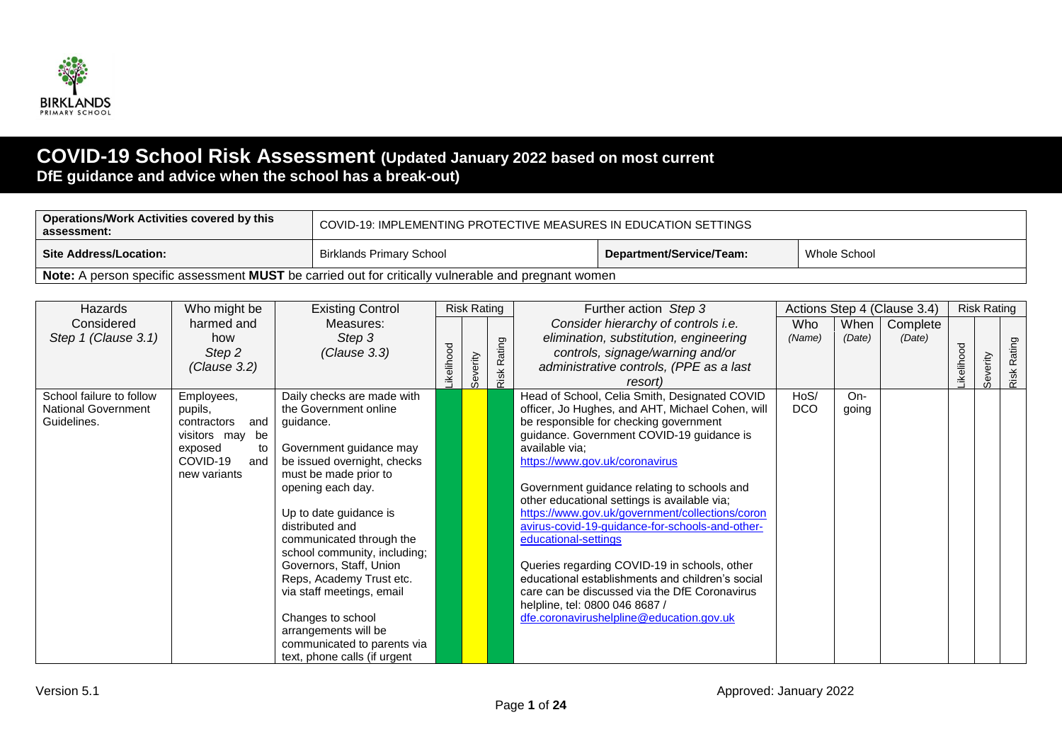

## **COVID-19 School Risk Assessment (Updated January 2022 based on most current DfE guidance and advice when the school has a break-out)**

| Operations/Work Activities covered by this<br>assessment:                                           | COVID-19: IMPLEMENTING PROTECTIVE MEASURES IN EDUCATION SETTINGS |                          |              |  |  |  |  |  |  |  |  |
|-----------------------------------------------------------------------------------------------------|------------------------------------------------------------------|--------------------------|--------------|--|--|--|--|--|--|--|--|
| ∣ Site Address/Location:                                                                            | Birklands Primary School                                         | Department/Service/Team: | Whole School |  |  |  |  |  |  |  |  |
| Note: A person specific assessment MUST be carried out for critically vulnerable and pregnant women |                                                                  |                          |              |  |  |  |  |  |  |  |  |

| Hazards                    | Who might be       | <b>Existing Control</b>      |           | <b>Risk Rating</b> |             | Further action Step 3                                                                           |            |        | Actions Step 4 (Clause 3.4) |           | <b>Risk Rating</b> |        |
|----------------------------|--------------------|------------------------------|-----------|--------------------|-------------|-------------------------------------------------------------------------------------------------|------------|--------|-----------------------------|-----------|--------------------|--------|
| Considered                 | harmed and         | Measures:                    |           |                    |             | Consider hierarchy of controls i.e.                                                             | Who        | When   | Complete                    |           |                    |        |
| Step 1 (Clause 3.1)        | how                | Step 3                       |           |                    |             | elimination, substitution, engineering                                                          | (Name)     | (Date) | (Date)                      |           |                    |        |
|                            | Step 2             | (Clause 3.3)                 | ikelihood |                    | Risk Rating | controls, signage/warning and/or                                                                |            |        |                             | ikelihood |                    | Rating |
|                            | (Clause 3.2)       |                              |           |                    |             | administrative controls, (PPE as a last                                                         |            |        |                             |           | Severity           |        |
|                            |                    |                              |           | Severity           |             | resort)                                                                                         |            |        |                             |           |                    | Risk   |
| School failure to follow   | Employees,         | Daily checks are made with   |           |                    |             | Head of School, Celia Smith, Designated COVID                                                   | HoS/       | On-    |                             |           |                    |        |
| <b>National Government</b> | pupils,            | the Government online        |           |                    |             | officer, Jo Hughes, and AHT, Michael Cohen, will                                                | <b>DCO</b> | going  |                             |           |                    |        |
| Guidelines.                | and<br>contractors | guidance.                    |           |                    |             | be responsible for checking government                                                          |            |        |                             |           |                    |        |
|                            | visitors may be    |                              |           |                    |             | guidance. Government COVID-19 guidance is                                                       |            |        |                             |           |                    |        |
|                            | exposed<br>to      | Government guidance may      |           |                    |             | available via;                                                                                  |            |        |                             |           |                    |        |
|                            | COVID-19<br>and    | be issued overnight, checks  |           |                    |             | https://www.gov.uk/coronavirus                                                                  |            |        |                             |           |                    |        |
|                            | new variants       | must be made prior to        |           |                    |             |                                                                                                 |            |        |                             |           |                    |        |
|                            |                    | opening each day.            |           |                    |             | Government guidance relating to schools and                                                     |            |        |                             |           |                    |        |
|                            |                    | Up to date guidance is       |           |                    |             | other educational settings is available via;<br>https://www.gov.uk/government/collections/coron |            |        |                             |           |                    |        |
|                            |                    | distributed and              |           |                    |             | avirus-covid-19-quidance-for-schools-and-other-                                                 |            |        |                             |           |                    |        |
|                            |                    | communicated through the     |           |                    |             | educational-settings                                                                            |            |        |                             |           |                    |        |
|                            |                    | school community, including; |           |                    |             |                                                                                                 |            |        |                             |           |                    |        |
|                            |                    | Governors, Staff, Union      |           |                    |             | Queries regarding COVID-19 in schools, other                                                    |            |        |                             |           |                    |        |
|                            |                    | Reps, Academy Trust etc.     |           |                    |             | educational establishments and children's social                                                |            |        |                             |           |                    |        |
|                            |                    | via staff meetings, email    |           |                    |             | care can be discussed via the DfE Coronavirus                                                   |            |        |                             |           |                    |        |
|                            |                    |                              |           |                    |             | helpline, tel: 0800 046 8687 /                                                                  |            |        |                             |           |                    |        |
|                            |                    | Changes to school            |           |                    |             | dfe.coronavirushelpline@education.gov.uk                                                        |            |        |                             |           |                    |        |
|                            |                    | arrangements will be         |           |                    |             |                                                                                                 |            |        |                             |           |                    |        |
|                            |                    | communicated to parents via  |           |                    |             |                                                                                                 |            |        |                             |           |                    |        |
|                            |                    | text, phone calls (if urgent |           |                    |             |                                                                                                 |            |        |                             |           |                    |        |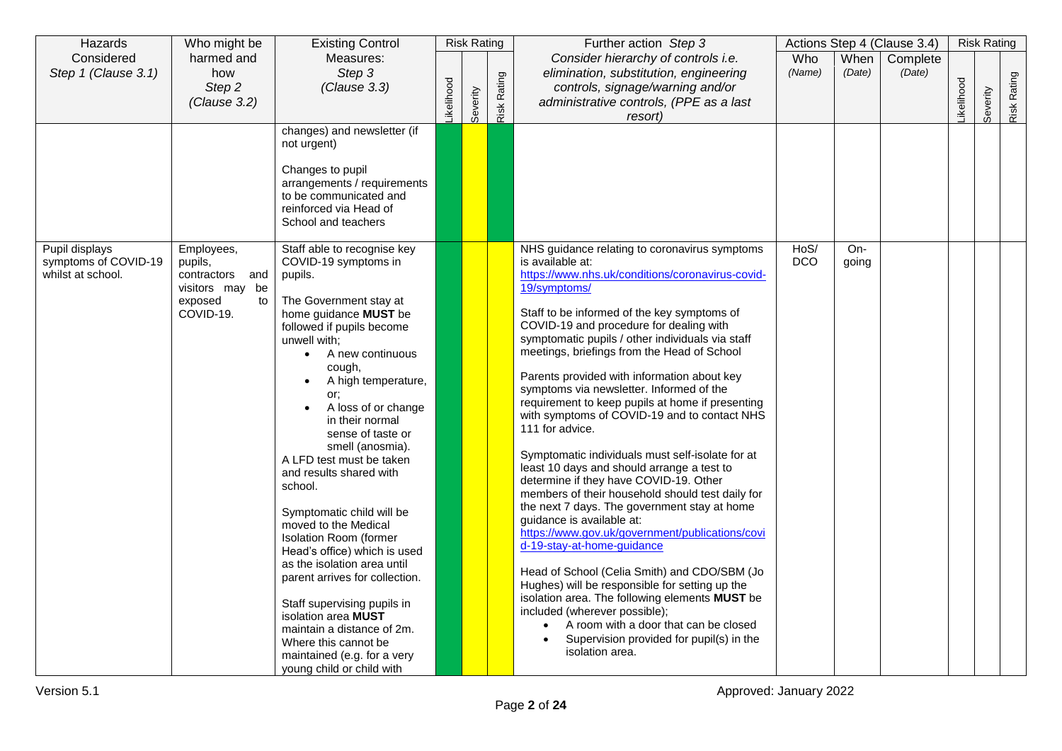| Hazards                                   | Who might be                          | <b>Existing Control</b>                                     | <b>Risk Rating</b> |          | Further action Step 3 |                                                                                                  |               | Actions Step 4 (Clause 3.4) |          | <b>Risk Rating</b> |          |             |
|-------------------------------------------|---------------------------------------|-------------------------------------------------------------|--------------------|----------|-----------------------|--------------------------------------------------------------------------------------------------|---------------|-----------------------------|----------|--------------------|----------|-------------|
| Considered                                | harmed and<br>how                     | Measures:<br>Step 3                                         |                    |          |                       | Consider hierarchy of controls i.e.                                                              | Who<br>(Name) | When<br>(Date)              | Complete |                    |          |             |
| Step 1 (Clause 3.1)                       | Step 2                                | (Clause 3.3)                                                |                    |          |                       | elimination, substitution, engineering<br>controls, signage/warning and/or                       |               |                             | (Date)   |                    |          |             |
|                                           | (Clause 3.2)                          |                                                             |                    |          |                       | administrative controls, (PPE as a last                                                          |               |                             |          |                    |          |             |
|                                           |                                       |                                                             | <b>ikelihood</b>   | Severity | Risk Rating           | resort)                                                                                          |               |                             |          | ikelihood          | Severity | Risk Rating |
|                                           |                                       | changes) and newsletter (if                                 |                    |          |                       |                                                                                                  |               |                             |          |                    |          |             |
|                                           |                                       | not urgent)                                                 |                    |          |                       |                                                                                                  |               |                             |          |                    |          |             |
|                                           |                                       | Changes to pupil                                            |                    |          |                       |                                                                                                  |               |                             |          |                    |          |             |
|                                           |                                       | arrangements / requirements                                 |                    |          |                       |                                                                                                  |               |                             |          |                    |          |             |
|                                           |                                       | to be communicated and                                      |                    |          |                       |                                                                                                  |               |                             |          |                    |          |             |
|                                           |                                       | reinforced via Head of<br>School and teachers               |                    |          |                       |                                                                                                  |               |                             |          |                    |          |             |
|                                           |                                       |                                                             |                    |          |                       |                                                                                                  |               |                             |          |                    |          |             |
| Pupil displays                            | Employees,                            | Staff able to recognise key                                 |                    |          |                       | NHS guidance relating to coronavirus symptoms                                                    | HoS/          | $On-$                       |          |                    |          |             |
| symptoms of COVID-19<br>whilst at school. | pupils,                               | COVID-19 symptoms in                                        |                    |          |                       | is available at:<br>https://www.nhs.uk/conditions/coronavirus-covid-                             | <b>DCO</b>    | going                       |          |                    |          |             |
|                                           | contractors<br>and<br>visitors may be | pupils.                                                     |                    |          |                       | 19/symptoms/                                                                                     |               |                             |          |                    |          |             |
|                                           | exposed<br>to                         | The Government stay at                                      |                    |          |                       |                                                                                                  |               |                             |          |                    |          |             |
|                                           | COVID-19.                             | home guidance MUST be                                       |                    |          |                       | Staff to be informed of the key symptoms of                                                      |               |                             |          |                    |          |             |
|                                           |                                       | followed if pupils become                                   |                    |          |                       | COVID-19 and procedure for dealing with<br>symptomatic pupils / other individuals via staff      |               |                             |          |                    |          |             |
|                                           |                                       | unwell with:<br>• A new continuous                          |                    |          |                       | meetings, briefings from the Head of School                                                      |               |                             |          |                    |          |             |
|                                           |                                       | cough,                                                      |                    |          |                       |                                                                                                  |               |                             |          |                    |          |             |
|                                           |                                       | A high temperature,                                         |                    |          |                       | Parents provided with information about key                                                      |               |                             |          |                    |          |             |
|                                           |                                       | or;                                                         |                    |          |                       | symptoms via newsletter. Informed of the<br>requirement to keep pupils at home if presenting     |               |                             |          |                    |          |             |
|                                           |                                       | A loss of or change<br>in their normal                      |                    |          |                       | with symptoms of COVID-19 and to contact NHS                                                     |               |                             |          |                    |          |             |
|                                           |                                       | sense of taste or                                           |                    |          |                       | 111 for advice.                                                                                  |               |                             |          |                    |          |             |
|                                           |                                       | smell (anosmia).                                            |                    |          |                       |                                                                                                  |               |                             |          |                    |          |             |
|                                           |                                       | A LFD test must be taken                                    |                    |          |                       | Symptomatic individuals must self-isolate for at<br>least 10 days and should arrange a test to   |               |                             |          |                    |          |             |
|                                           |                                       | and results shared with                                     |                    |          |                       | determine if they have COVID-19. Other                                                           |               |                             |          |                    |          |             |
|                                           |                                       | school.                                                     |                    |          |                       | members of their household should test daily for                                                 |               |                             |          |                    |          |             |
|                                           |                                       | Symptomatic child will be                                   |                    |          |                       | the next 7 days. The government stay at home                                                     |               |                             |          |                    |          |             |
|                                           |                                       | moved to the Medical                                        |                    |          |                       | quidance is available at:<br>https://www.gov.uk/government/publications/covi                     |               |                             |          |                    |          |             |
|                                           |                                       | <b>Isolation Room (former</b>                               |                    |          |                       | d-19-stay-at-home-guidance                                                                       |               |                             |          |                    |          |             |
|                                           |                                       | Head's office) which is used<br>as the isolation area until |                    |          |                       |                                                                                                  |               |                             |          |                    |          |             |
|                                           |                                       | parent arrives for collection.                              |                    |          |                       | Head of School (Celia Smith) and CDO/SBM (Jo                                                     |               |                             |          |                    |          |             |
|                                           |                                       |                                                             |                    |          |                       | Hughes) will be responsible for setting up the<br>isolation area. The following elements MUST be |               |                             |          |                    |          |             |
|                                           |                                       | Staff supervising pupils in                                 |                    |          |                       | included (wherever possible);                                                                    |               |                             |          |                    |          |             |
|                                           |                                       | isolation area MUST<br>maintain a distance of 2m.           |                    |          |                       | A room with a door that can be closed<br>$\bullet$                                               |               |                             |          |                    |          |             |
|                                           |                                       | Where this cannot be                                        |                    |          |                       | Supervision provided for pupil(s) in the                                                         |               |                             |          |                    |          |             |
|                                           |                                       | maintained (e.g. for a very                                 |                    |          |                       | isolation area.                                                                                  |               |                             |          |                    |          |             |
|                                           |                                       | young child or child with                                   |                    |          |                       |                                                                                                  |               |                             |          |                    |          |             |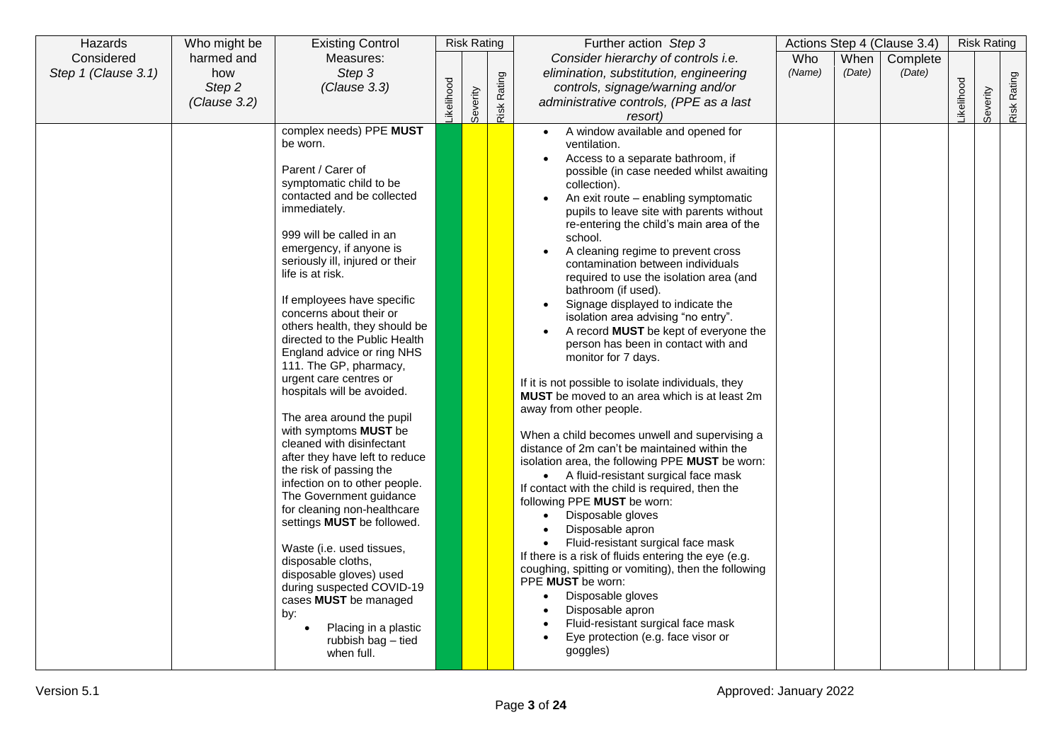| Hazards             | Who might be | <b>Existing Control</b>                          |           | <b>Risk Rating</b> |             | Further action Step 3                               |        |        | Actions Step 4 (Clause 3.4) |           | <b>Risk Rating</b> |             |
|---------------------|--------------|--------------------------------------------------|-----------|--------------------|-------------|-----------------------------------------------------|--------|--------|-----------------------------|-----------|--------------------|-------------|
| Considered          | harmed and   | Measures:                                        |           |                    |             | Consider hierarchy of controls i.e.                 | Who    | When   | Complete                    |           |                    |             |
| Step 1 (Clause 3.1) | how          | Step 3                                           |           |                    |             | elimination, substitution, engineering              | (Name) | (Date) | (Date)                      |           |                    |             |
|                     | Step 2       | (Clause 3.3)                                     |           |                    |             | controls, signage/warning and/or                    |        |        |                             |           |                    |             |
|                     | (Clause 3.2) |                                                  | ikelihood |                    | Risk Rating | administrative controls, (PPE as a last             |        |        |                             | ikelihood |                    | Risk Rating |
|                     |              |                                                  |           | Severity           |             | resort)                                             |        |        |                             |           | Severity           |             |
|                     |              | complex needs) PPE MUST                          |           |                    |             | A window available and opened for<br>$\bullet$      |        |        |                             |           |                    |             |
|                     |              | be worn.                                         |           |                    |             | ventilation.                                        |        |        |                             |           |                    |             |
|                     |              |                                                  |           |                    |             | Access to a separate bathroom, if                   |        |        |                             |           |                    |             |
|                     |              | Parent / Carer of                                |           |                    |             | possible (in case needed whilst awaiting            |        |        |                             |           |                    |             |
|                     |              | symptomatic child to be                          |           |                    |             | collection).                                        |        |        |                             |           |                    |             |
|                     |              | contacted and be collected                       |           |                    |             | An exit route – enabling symptomatic                |        |        |                             |           |                    |             |
|                     |              | immediately.                                     |           |                    |             | pupils to leave site with parents without           |        |        |                             |           |                    |             |
|                     |              | 999 will be called in an                         |           |                    |             | re-entering the child's main area of the            |        |        |                             |           |                    |             |
|                     |              | emergency, if anyone is                          |           |                    |             | school.<br>A cleaning regime to prevent cross       |        |        |                             |           |                    |             |
|                     |              | seriously ill, injured or their                  |           |                    |             | $\bullet$<br>contamination between individuals      |        |        |                             |           |                    |             |
|                     |              | life is at risk.                                 |           |                    |             | required to use the isolation area (and             |        |        |                             |           |                    |             |
|                     |              |                                                  |           |                    |             | bathroom (if used).                                 |        |        |                             |           |                    |             |
|                     |              | If employees have specific                       |           |                    |             | Signage displayed to indicate the                   |        |        |                             |           |                    |             |
|                     |              | concerns about their or                          |           |                    |             | isolation area advising "no entry".                 |        |        |                             |           |                    |             |
|                     |              | others health, they should be                    |           |                    |             | A record <b>MUST</b> be kept of everyone the        |        |        |                             |           |                    |             |
|                     |              | directed to the Public Health                    |           |                    |             | person has been in contact with and                 |        |        |                             |           |                    |             |
|                     |              | England advice or ring NHS                       |           |                    |             | monitor for 7 days.                                 |        |        |                             |           |                    |             |
|                     |              | 111. The GP, pharmacy,<br>urgent care centres or |           |                    |             |                                                     |        |        |                             |           |                    |             |
|                     |              | hospitals will be avoided.                       |           |                    |             | If it is not possible to isolate individuals, they  |        |        |                             |           |                    |             |
|                     |              |                                                  |           |                    |             | MUST be moved to an area which is at least 2m       |        |        |                             |           |                    |             |
|                     |              | The area around the pupil                        |           |                    |             | away from other people.                             |        |        |                             |           |                    |             |
|                     |              | with symptoms MUST be                            |           |                    |             | When a child becomes unwell and supervising a       |        |        |                             |           |                    |             |
|                     |              | cleaned with disinfectant                        |           |                    |             | distance of 2m can't be maintained within the       |        |        |                             |           |                    |             |
|                     |              | after they have left to reduce                   |           |                    |             | isolation area, the following PPE MUST be worn:     |        |        |                             |           |                    |             |
|                     |              | the risk of passing the                          |           |                    |             | • A fluid-resistant surgical face mask              |        |        |                             |           |                    |             |
|                     |              | infection on to other people.                    |           |                    |             | If contact with the child is required, then the     |        |        |                             |           |                    |             |
|                     |              | The Government guidance                          |           |                    |             | following PPE MUST be worn:                         |        |        |                             |           |                    |             |
|                     |              | for cleaning non-healthcare                      |           |                    |             | Disposable gloves<br>$\bullet$                      |        |        |                             |           |                    |             |
|                     |              | settings MUST be followed.                       |           |                    |             | Disposable apron                                    |        |        |                             |           |                    |             |
|                     |              | Waste (i.e. used tissues,                        |           |                    |             | Fluid-resistant surgical face mask<br>$\bullet$     |        |        |                             |           |                    |             |
|                     |              | disposable cloths,                               |           |                    |             | If there is a risk of fluids entering the eye (e.g. |        |        |                             |           |                    |             |
|                     |              | disposable gloves) used                          |           |                    |             | coughing, spitting or vomiting), then the following |        |        |                             |           |                    |             |
|                     |              | during suspected COVID-19                        |           |                    |             | PPE MUST be worn:                                   |        |        |                             |           |                    |             |
|                     |              | cases MUST be managed                            |           |                    |             | Disposable gloves<br>$\bullet$                      |        |        |                             |           |                    |             |
|                     |              | by:                                              |           |                    |             | Disposable apron                                    |        |        |                             |           |                    |             |
|                     |              | Placing in a plastic                             |           |                    |             | Fluid-resistant surgical face mask                  |        |        |                             |           |                    |             |
|                     |              | rubbish bag - tied                               |           |                    |             | Eye protection (e.g. face visor or<br>$\bullet$     |        |        |                             |           |                    |             |
|                     |              | when full.                                       |           |                    |             | goggles)                                            |        |        |                             |           |                    |             |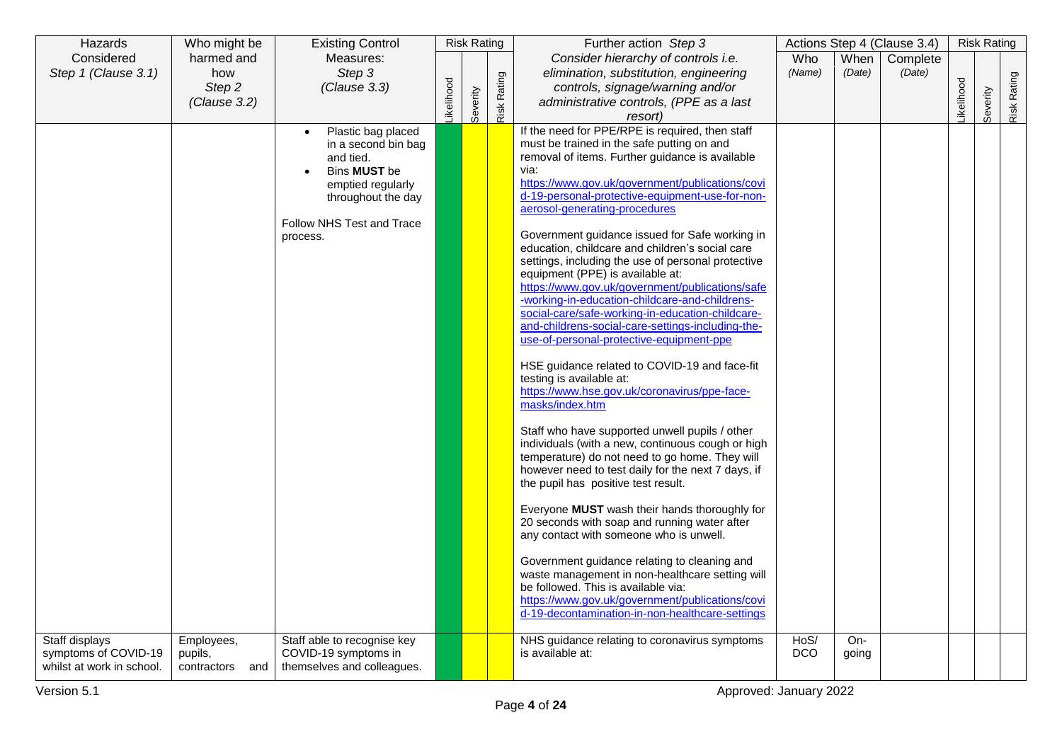| Hazards                                                             | Who might be                             | <b>Existing Control</b>                                                                                                                                                        |                  | <b>Risk Rating</b> |                    | Further action Step 3                                                                                                                                                                                                                                                                                                                                                                                                                                                                                                                                                                                                                                                                                                                                                                                                                                                                                                                                                                                            |                    |                | Actions Step 4 (Clause 3.4) |                  | <b>Risk Rating</b> |        |
|---------------------------------------------------------------------|------------------------------------------|--------------------------------------------------------------------------------------------------------------------------------------------------------------------------------|------------------|--------------------|--------------------|------------------------------------------------------------------------------------------------------------------------------------------------------------------------------------------------------------------------------------------------------------------------------------------------------------------------------------------------------------------------------------------------------------------------------------------------------------------------------------------------------------------------------------------------------------------------------------------------------------------------------------------------------------------------------------------------------------------------------------------------------------------------------------------------------------------------------------------------------------------------------------------------------------------------------------------------------------------------------------------------------------------|--------------------|----------------|-----------------------------|------------------|--------------------|--------|
| Considered                                                          | harmed and                               | Measures:                                                                                                                                                                      |                  |                    |                    | Consider hierarchy of controls i.e.                                                                                                                                                                                                                                                                                                                                                                                                                                                                                                                                                                                                                                                                                                                                                                                                                                                                                                                                                                              | Who                | When           | Complete                    |                  |                    |        |
| Step 1 (Clause 3.1)                                                 | how                                      | Step 3                                                                                                                                                                         |                  |                    |                    | elimination, substitution, engineering                                                                                                                                                                                                                                                                                                                                                                                                                                                                                                                                                                                                                                                                                                                                                                                                                                                                                                                                                                           | (Name)             | (Date)         | (Date)                      |                  |                    | Rating |
|                                                                     | Step 2                                   | (Clause 3.3)                                                                                                                                                                   |                  |                    |                    | controls, signage/warning and/or                                                                                                                                                                                                                                                                                                                                                                                                                                                                                                                                                                                                                                                                                                                                                                                                                                                                                                                                                                                 |                    |                |                             |                  |                    |        |
|                                                                     |                                          |                                                                                                                                                                                |                  |                    |                    |                                                                                                                                                                                                                                                                                                                                                                                                                                                                                                                                                                                                                                                                                                                                                                                                                                                                                                                                                                                                                  |                    |                |                             |                  |                    |        |
|                                                                     | (Clause 3.2)                             | Plastic bag placed<br>$\bullet$<br>in a second bin bag<br>and tied.<br>Bins <b>MUST</b> be<br>emptied regularly<br>throughout the day<br>Follow NHS Test and Trace<br>process. | <b>ikelihood</b> | Severity           | <b>Risk Rating</b> | administrative controls, (PPE as a last<br>resort)<br>If the need for PPE/RPE is required, then staff<br>must be trained in the safe putting on and<br>removal of items. Further guidance is available<br>via:<br>https://www.gov.uk/government/publications/covi<br>d-19-personal-protective-equipment-use-for-non-<br>aerosol-generating-procedures<br>Government guidance issued for Safe working in<br>education, childcare and children's social care<br>settings, including the use of personal protective<br>equipment (PPE) is available at:<br>https://www.gov.uk/government/publications/safe<br>-working-in-education-childcare-and-childrens-<br>social-care/safe-working-in-education-childcare-<br>and-childrens-social-care-settings-including-the-<br>use-of-personal-protective-equipment-ppe<br>HSE guidance related to COVID-19 and face-fit<br>testing is available at:<br>https://www.hse.gov.uk/coronavirus/ppe-face-<br>masks/index.htm<br>Staff who have supported unwell pupils / other |                    |                |                             | <b>ikelihood</b> | Severity           | Risk I |
|                                                                     |                                          |                                                                                                                                                                                |                  |                    |                    | individuals (with a new, continuous cough or high<br>temperature) do not need to go home. They will<br>however need to test daily for the next 7 days, if<br>the pupil has positive test result.<br>Everyone MUST wash their hands thoroughly for<br>20 seconds with soap and running water after<br>any contact with someone who is unwell.<br>Government guidance relating to cleaning and<br>waste management in non-healthcare setting will<br>be followed. This is available via:<br>https://www.gov.uk/government/publications/covi<br>d-19-decontamination-in-non-healthcare-settings                                                                                                                                                                                                                                                                                                                                                                                                                     |                    |                |                             |                  |                    |        |
| Staff displays<br>symptoms of COVID-19<br>whilst at work in school. | Employees,<br>pupils,<br>contractors and | Staff able to recognise key<br>COVID-19 symptoms in<br>themselves and colleagues.                                                                                              |                  |                    |                    | NHS guidance relating to coronavirus symptoms<br>is available at:                                                                                                                                                                                                                                                                                                                                                                                                                                                                                                                                                                                                                                                                                                                                                                                                                                                                                                                                                | HoS/<br><b>DCO</b> | $On-$<br>going |                             |                  |                    |        |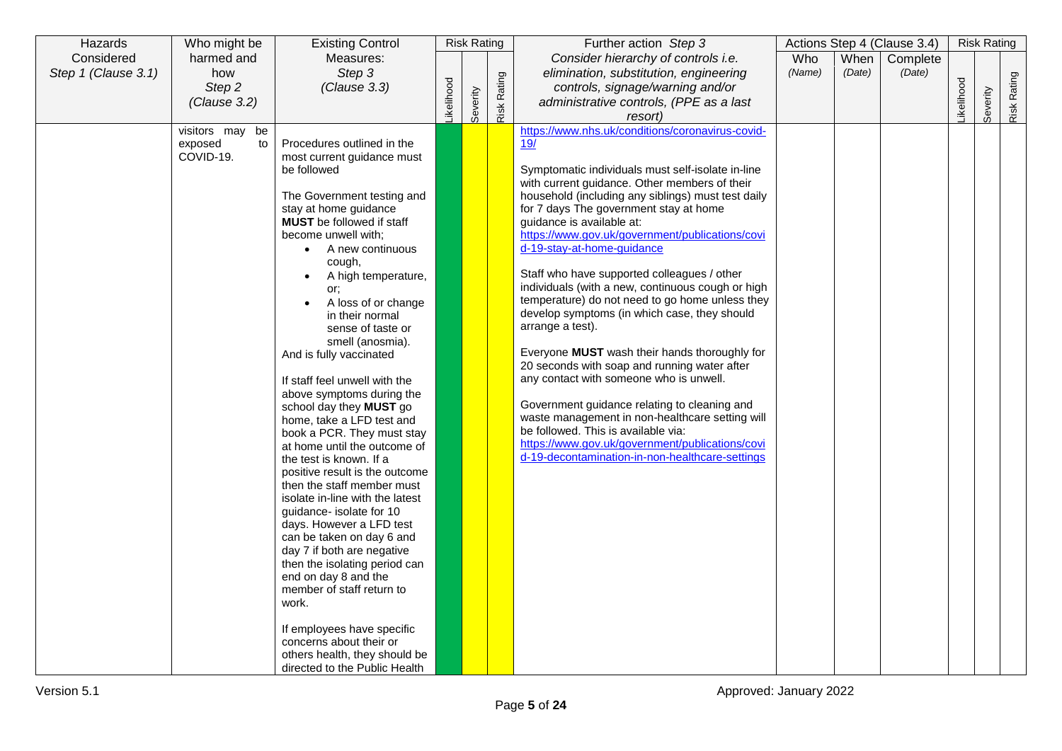| Hazards             | Who might be                     | <b>Existing Control</b>                                      |           | <b>Risk Rating</b> |        | Further action Step 3                                                                              |        |        | Actions Step 4 (Clause 3.4) |           | <b>Risk Rating</b> |             |
|---------------------|----------------------------------|--------------------------------------------------------------|-----------|--------------------|--------|----------------------------------------------------------------------------------------------------|--------|--------|-----------------------------|-----------|--------------------|-------------|
| Considered          | harmed and                       | Measures:                                                    |           |                    |        | Consider hierarchy of controls i.e.                                                                | Who    | When   | Complete                    |           |                    |             |
| Step 1 (Clause 3.1) | how                              | Step 3                                                       |           |                    |        | elimination, substitution, engineering                                                             | (Name) | (Date) | (Date)                      |           |                    |             |
|                     | Step <sub>2</sub>                | (Clause 3.3)                                                 |           |                    | Rating | controls, signage/warning and/or                                                                   |        |        |                             |           |                    |             |
|                     | (Clause 3.2)                     |                                                              | ikelihood |                    |        | administrative controls, (PPE as a last                                                            |        |        |                             | ikelihood | Severity           | Risk Rating |
|                     |                                  |                                                              |           | Severity           | Risk   | resort)                                                                                            |        |        |                             |           |                    |             |
|                     | visitors may be<br>exposed<br>to | Procedures outlined in the                                   |           |                    |        | https://www.nhs.uk/conditions/coronavirus-covid-<br>19/                                            |        |        |                             |           |                    |             |
|                     | COVID-19.                        | most current guidance must                                   |           |                    |        |                                                                                                    |        |        |                             |           |                    |             |
|                     |                                  | be followed                                                  |           |                    |        | Symptomatic individuals must self-isolate in-line                                                  |        |        |                             |           |                    |             |
|                     |                                  |                                                              |           |                    |        | with current guidance. Other members of their                                                      |        |        |                             |           |                    |             |
|                     |                                  | The Government testing and                                   |           |                    |        | household (including any siblings) must test daily                                                 |        |        |                             |           |                    |             |
|                     |                                  | stay at home guidance                                        |           |                    |        | for 7 days The government stay at home                                                             |        |        |                             |           |                    |             |
|                     |                                  | <b>MUST</b> be followed if staff                             |           |                    |        | guidance is available at:                                                                          |        |        |                             |           |                    |             |
|                     |                                  | become unwell with;<br>A new continuous                      |           |                    |        | https://www.gov.uk/government/publications/covi<br>d-19-stay-at-home-guidance                      |        |        |                             |           |                    |             |
|                     |                                  | cough,                                                       |           |                    |        |                                                                                                    |        |        |                             |           |                    |             |
|                     |                                  | A high temperature,                                          |           |                    |        | Staff who have supported colleagues / other                                                        |        |        |                             |           |                    |             |
|                     |                                  | or;                                                          |           |                    |        | individuals (with a new, continuous cough or high                                                  |        |        |                             |           |                    |             |
|                     |                                  | A loss of or change                                          |           |                    |        | temperature) do not need to go home unless they                                                    |        |        |                             |           |                    |             |
|                     |                                  | in their normal                                              |           |                    |        | develop symptoms (in which case, they should                                                       |        |        |                             |           |                    |             |
|                     |                                  | sense of taste or                                            |           |                    |        | arrange a test).                                                                                   |        |        |                             |           |                    |             |
|                     |                                  | smell (anosmia).                                             |           |                    |        | Everyone <b>MUST</b> wash their hands thoroughly for                                               |        |        |                             |           |                    |             |
|                     |                                  | And is fully vaccinated                                      |           |                    |        | 20 seconds with soap and running water after                                                       |        |        |                             |           |                    |             |
|                     |                                  | If staff feel unwell with the                                |           |                    |        | any contact with someone who is unwell.                                                            |        |        |                             |           |                    |             |
|                     |                                  | above symptoms during the                                    |           |                    |        |                                                                                                    |        |        |                             |           |                    |             |
|                     |                                  | school day they MUST go                                      |           |                    |        | Government guidance relating to cleaning and                                                       |        |        |                             |           |                    |             |
|                     |                                  | home, take a LFD test and                                    |           |                    |        | waste management in non-healthcare setting will                                                    |        |        |                             |           |                    |             |
|                     |                                  | book a PCR. They must stay                                   |           |                    |        | be followed. This is available via:                                                                |        |        |                             |           |                    |             |
|                     |                                  | at home until the outcome of                                 |           |                    |        | https://www.gov.uk/government/publications/covi<br>d-19-decontamination-in-non-healthcare-settings |        |        |                             |           |                    |             |
|                     |                                  | the test is known. If a                                      |           |                    |        |                                                                                                    |        |        |                             |           |                    |             |
|                     |                                  | positive result is the outcome<br>then the staff member must |           |                    |        |                                                                                                    |        |        |                             |           |                    |             |
|                     |                                  | isolate in-line with the latest                              |           |                    |        |                                                                                                    |        |        |                             |           |                    |             |
|                     |                                  | guidance- isolate for 10                                     |           |                    |        |                                                                                                    |        |        |                             |           |                    |             |
|                     |                                  | days. However a LFD test                                     |           |                    |        |                                                                                                    |        |        |                             |           |                    |             |
|                     |                                  | can be taken on day 6 and                                    |           |                    |        |                                                                                                    |        |        |                             |           |                    |             |
|                     |                                  | day 7 if both are negative                                   |           |                    |        |                                                                                                    |        |        |                             |           |                    |             |
|                     |                                  | then the isolating period can                                |           |                    |        |                                                                                                    |        |        |                             |           |                    |             |
|                     |                                  | end on day 8 and the                                         |           |                    |        |                                                                                                    |        |        |                             |           |                    |             |
|                     |                                  | member of staff return to<br>work.                           |           |                    |        |                                                                                                    |        |        |                             |           |                    |             |
|                     |                                  |                                                              |           |                    |        |                                                                                                    |        |        |                             |           |                    |             |
|                     |                                  | If employees have specific                                   |           |                    |        |                                                                                                    |        |        |                             |           |                    |             |
|                     |                                  | concerns about their or                                      |           |                    |        |                                                                                                    |        |        |                             |           |                    |             |
|                     |                                  | others health, they should be                                |           |                    |        |                                                                                                    |        |        |                             |           |                    |             |
|                     |                                  | directed to the Public Health                                |           |                    |        |                                                                                                    |        |        |                             |           |                    |             |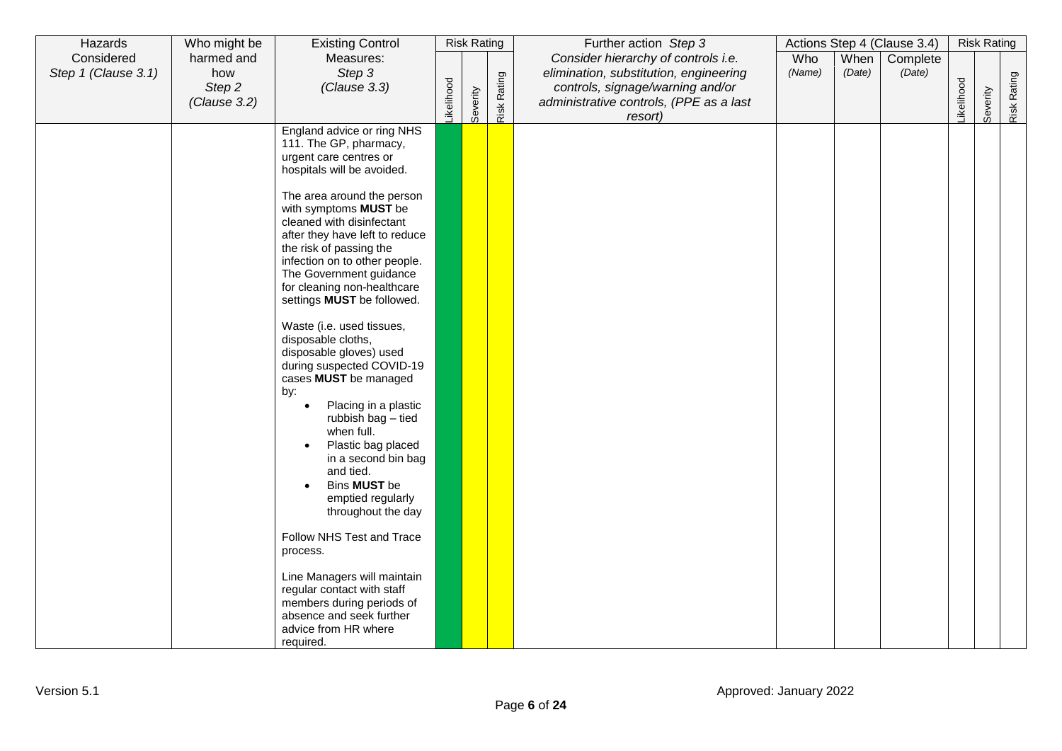| Hazards             | Who might be  | <b>Existing Control</b>                                                                                                                                                                                                                                                                                                                                                                                                                                                                                                                                                                                                                                                                                                                                                                                                                                                                                                             |            | <b>Risk Rating</b> |             | Further action Step 3                                                      |        |        | Actions Step 4 (Clause 3.4) |                  | <b>Risk Rating</b> |             |
|---------------------|---------------|-------------------------------------------------------------------------------------------------------------------------------------------------------------------------------------------------------------------------------------------------------------------------------------------------------------------------------------------------------------------------------------------------------------------------------------------------------------------------------------------------------------------------------------------------------------------------------------------------------------------------------------------------------------------------------------------------------------------------------------------------------------------------------------------------------------------------------------------------------------------------------------------------------------------------------------|------------|--------------------|-------------|----------------------------------------------------------------------------|--------|--------|-----------------------------|------------------|--------------------|-------------|
| Considered          | harmed and    | Measures:                                                                                                                                                                                                                                                                                                                                                                                                                                                                                                                                                                                                                                                                                                                                                                                                                                                                                                                           |            |                    |             | Consider hierarchy of controls i.e.                                        | Who    | When   | Complete                    |                  |                    |             |
| Step 1 (Clause 3.1) | how<br>Step 2 | Step 3<br>(Clause 3.3)                                                                                                                                                                                                                                                                                                                                                                                                                                                                                                                                                                                                                                                                                                                                                                                                                                                                                                              |            |                    |             | elimination, substitution, engineering<br>controls, signage/warning and/or | (Name) | (Date) | (Date)                      |                  |                    |             |
|                     | (Clause 3.2)  |                                                                                                                                                                                                                                                                                                                                                                                                                                                                                                                                                                                                                                                                                                                                                                                                                                                                                                                                     | _ikelihood |                    |             | administrative controls, (PPE as a last                                    |        |        |                             | <b>ikelihood</b> |                    |             |
|                     |               |                                                                                                                                                                                                                                                                                                                                                                                                                                                                                                                                                                                                                                                                                                                                                                                                                                                                                                                                     |            | Severity           | Risk Rating | resort)                                                                    |        |        |                             |                  | Severity           | Risk Rating |
|                     |               | England advice or ring NHS<br>111. The GP, pharmacy,<br>urgent care centres or<br>hospitals will be avoided.<br>The area around the person<br>with symptoms MUST be<br>cleaned with disinfectant<br>after they have left to reduce<br>the risk of passing the<br>infection on to other people.<br>The Government guidance<br>for cleaning non-healthcare<br>settings MUST be followed.<br>Waste (i.e. used tissues,<br>disposable cloths,<br>disposable gloves) used<br>during suspected COVID-19<br>cases MUST be managed<br>by:<br>Placing in a plastic<br>$\bullet$<br>rubbish bag - tied<br>when full.<br>Plastic bag placed<br>in a second bin bag<br>and tied.<br>Bins MUST be<br>emptied regularly<br>throughout the day<br>Follow NHS Test and Trace<br>process.<br>Line Managers will maintain<br>regular contact with staff<br>members during periods of<br>absence and seek further<br>advice from HR where<br>required. |            |                    |             |                                                                            |        |        |                             |                  |                    |             |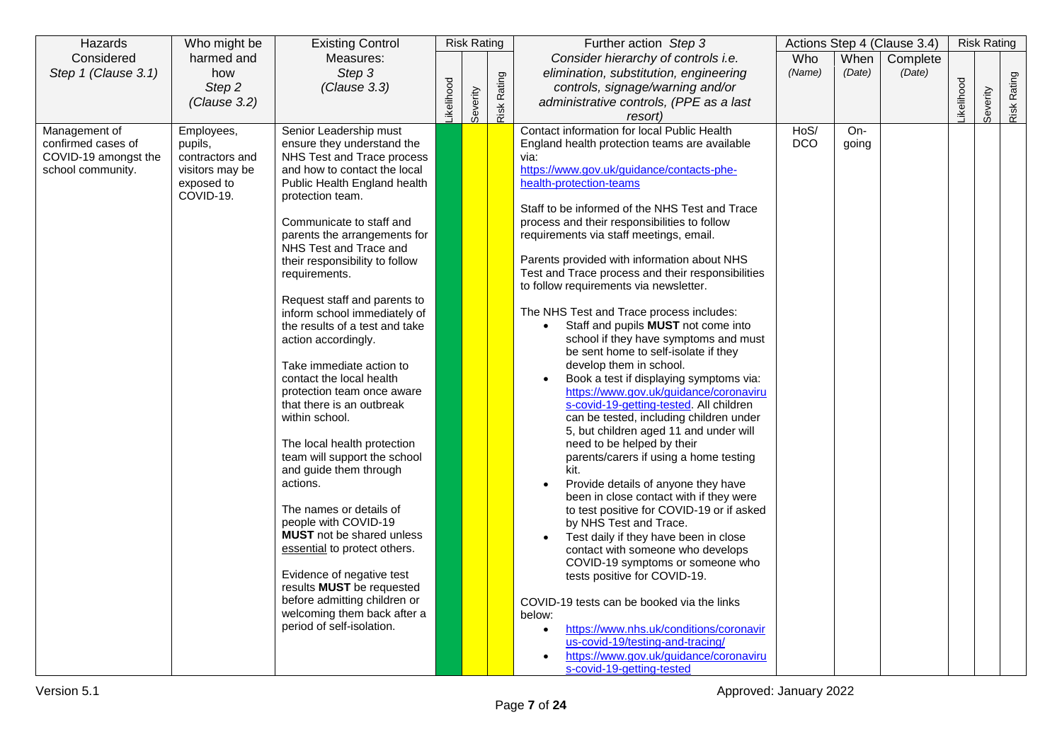| Hazards              | Who might be    | <b>Existing Control</b>          |                  | <b>Risk Rating</b> |             | Further action Step 3                                               |            |        | Actions Step 4 (Clause 3.4) |                  | <b>Risk Rating</b> |             |
|----------------------|-----------------|----------------------------------|------------------|--------------------|-------------|---------------------------------------------------------------------|------------|--------|-----------------------------|------------------|--------------------|-------------|
| Considered           | harmed and      | Measures:                        |                  |                    |             | Consider hierarchy of controls i.e.                                 | Who        | When   | Complete                    |                  |                    |             |
| Step 1 (Clause 3.1)  | how             | Step 3                           |                  |                    |             | elimination, substitution, engineering                              | (Name)     | (Date) | (Date)                      |                  |                    |             |
|                      | Step 2          | (Clause 3.3)                     |                  |                    |             | controls, signage/warning and/or                                    |            |        |                             |                  |                    |             |
|                      | (Clause 3.2)    |                                  | <b>ikelihood</b> |                    |             | administrative controls, (PPE as a last                             |            |        |                             | <b>ikelihood</b> |                    |             |
|                      |                 |                                  |                  | Severity           | Risk Rating | resort)                                                             |            |        |                             |                  | Severity           | Risk Rating |
| Management of        | Employees,      | Senior Leadership must           |                  |                    |             | Contact information for local Public Health                         | HoS/       | $On-$  |                             |                  |                    |             |
| confirmed cases of   | pupils,         | ensure they understand the       |                  |                    |             | England health protection teams are available                       | <b>DCO</b> | going  |                             |                  |                    |             |
| COVID-19 amongst the | contractors and | NHS Test and Trace process       |                  |                    |             | via:                                                                |            |        |                             |                  |                    |             |
| school community.    | visitors may be | and how to contact the local     |                  |                    |             | https://www.gov.uk/guidance/contacts-phe-                           |            |        |                             |                  |                    |             |
|                      | exposed to      | Public Health England health     |                  |                    |             | health-protection-teams                                             |            |        |                             |                  |                    |             |
|                      | COVID-19.       | protection team.                 |                  |                    |             | Staff to be informed of the NHS Test and Trace                      |            |        |                             |                  |                    |             |
|                      |                 | Communicate to staff and         |                  |                    |             | process and their responsibilities to follow                        |            |        |                             |                  |                    |             |
|                      |                 | parents the arrangements for     |                  |                    |             | requirements via staff meetings, email.                             |            |        |                             |                  |                    |             |
|                      |                 | NHS Test and Trace and           |                  |                    |             |                                                                     |            |        |                             |                  |                    |             |
|                      |                 | their responsibility to follow   |                  |                    |             | Parents provided with information about NHS                         |            |        |                             |                  |                    |             |
|                      |                 | requirements.                    |                  |                    |             | Test and Trace process and their responsibilities                   |            |        |                             |                  |                    |             |
|                      |                 |                                  |                  |                    |             | to follow requirements via newsletter.                              |            |        |                             |                  |                    |             |
|                      |                 | Request staff and parents to     |                  |                    |             |                                                                     |            |        |                             |                  |                    |             |
|                      |                 | inform school immediately of     |                  |                    |             | The NHS Test and Trace process includes:                            |            |        |                             |                  |                    |             |
|                      |                 | the results of a test and take   |                  |                    |             | Staff and pupils MUST not come into                                 |            |        |                             |                  |                    |             |
|                      |                 | action accordingly.              |                  |                    |             | school if they have symptoms and must                               |            |        |                             |                  |                    |             |
|                      |                 | Take immediate action to         |                  |                    |             | be sent home to self-isolate if they<br>develop them in school.     |            |        |                             |                  |                    |             |
|                      |                 | contact the local health         |                  |                    |             | Book a test if displaying symptoms via:                             |            |        |                             |                  |                    |             |
|                      |                 | protection team once aware       |                  |                    |             | https://www.gov.uk/guidance/coronaviru                              |            |        |                             |                  |                    |             |
|                      |                 | that there is an outbreak        |                  |                    |             | s-covid-19-getting-tested. All children                             |            |        |                             |                  |                    |             |
|                      |                 | within school.                   |                  |                    |             | can be tested, including children under                             |            |        |                             |                  |                    |             |
|                      |                 |                                  |                  |                    |             | 5, but children aged 11 and under will                              |            |        |                             |                  |                    |             |
|                      |                 | The local health protection      |                  |                    |             | need to be helped by their                                          |            |        |                             |                  |                    |             |
|                      |                 | team will support the school     |                  |                    |             | parents/carers if using a home testing                              |            |        |                             |                  |                    |             |
|                      |                 | and guide them through           |                  |                    |             | kit.                                                                |            |        |                             |                  |                    |             |
|                      |                 | actions.                         |                  |                    |             | Provide details of anyone they have                                 |            |        |                             |                  |                    |             |
|                      |                 | The names or details of          |                  |                    |             | been in close contact with if they were                             |            |        |                             |                  |                    |             |
|                      |                 | people with COVID-19             |                  |                    |             | to test positive for COVID-19 or if asked<br>by NHS Test and Trace. |            |        |                             |                  |                    |             |
|                      |                 | <b>MUST</b> not be shared unless |                  |                    |             | Test daily if they have been in close                               |            |        |                             |                  |                    |             |
|                      |                 | essential to protect others.     |                  |                    |             | contact with someone who develops                                   |            |        |                             |                  |                    |             |
|                      |                 |                                  |                  |                    |             | COVID-19 symptoms or someone who                                    |            |        |                             |                  |                    |             |
|                      |                 | Evidence of negative test        |                  |                    |             | tests positive for COVID-19.                                        |            |        |                             |                  |                    |             |
|                      |                 | results MUST be requested        |                  |                    |             |                                                                     |            |        |                             |                  |                    |             |
|                      |                 | before admitting children or     |                  |                    |             | COVID-19 tests can be booked via the links                          |            |        |                             |                  |                    |             |
|                      |                 | welcoming them back after a      |                  |                    |             | below:                                                              |            |        |                             |                  |                    |             |
|                      |                 | period of self-isolation.        |                  |                    |             | https://www.nhs.uk/conditions/coronavir<br>$\bullet$                |            |        |                             |                  |                    |             |
|                      |                 |                                  |                  |                    |             | us-covid-19/testing-and-tracing/                                    |            |        |                             |                  |                    |             |
|                      |                 |                                  |                  |                    |             | https://www.gov.uk/guidance/coronaviru                              |            |        |                             |                  |                    |             |
|                      |                 |                                  |                  |                    |             | s-covid-19-getting-tested                                           |            |        |                             |                  |                    |             |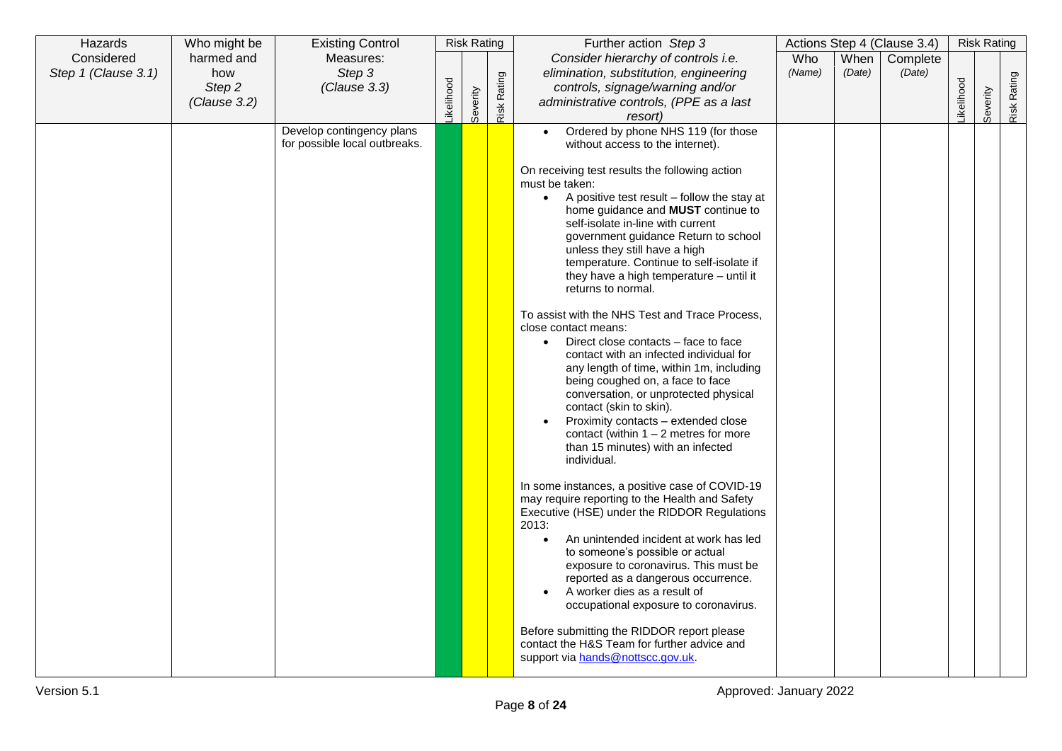| Hazards                           | Who might be      | <b>Existing Control</b>       |           | <b>Risk Rating</b> |             | Further action Step 3                                                                                                                                                                                                                                                                                                                                                                                                                                                                                                                                                                                                                                                                                                                                                                                                                                                                                                                                                                                                                                                                 |               |                | Actions Step 4 (Clause 3.4) |                  | <b>Risk Rating</b> |             |
|-----------------------------------|-------------------|-------------------------------|-----------|--------------------|-------------|---------------------------------------------------------------------------------------------------------------------------------------------------------------------------------------------------------------------------------------------------------------------------------------------------------------------------------------------------------------------------------------------------------------------------------------------------------------------------------------------------------------------------------------------------------------------------------------------------------------------------------------------------------------------------------------------------------------------------------------------------------------------------------------------------------------------------------------------------------------------------------------------------------------------------------------------------------------------------------------------------------------------------------------------------------------------------------------|---------------|----------------|-----------------------------|------------------|--------------------|-------------|
| Considered<br>Step 1 (Clause 3.1) | harmed and<br>how | Measures:<br>Step 3           |           |                    |             | Consider hierarchy of controls i.e.<br>elimination, substitution, engineering                                                                                                                                                                                                                                                                                                                                                                                                                                                                                                                                                                                                                                                                                                                                                                                                                                                                                                                                                                                                         | Who<br>(Name) | When<br>(Date) | Complete<br>(Date)          |                  |                    |             |
|                                   | Step 2            | (Clause 3.3)                  |           |                    |             | controls, signage/warning and/or                                                                                                                                                                                                                                                                                                                                                                                                                                                                                                                                                                                                                                                                                                                                                                                                                                                                                                                                                                                                                                                      |               |                |                             |                  |                    |             |
|                                   | (Clause 3.2)      |                               | ikelihood | Severity           | Risk Rating | administrative controls, (PPE as a last                                                                                                                                                                                                                                                                                                                                                                                                                                                                                                                                                                                                                                                                                                                                                                                                                                                                                                                                                                                                                                               |               |                |                             | <b>ikelihood</b> | Severity           | Risk Rating |
|                                   |                   | Develop contingency plans     |           |                    |             | resort)<br>Ordered by phone NHS 119 (for those<br>$\bullet$                                                                                                                                                                                                                                                                                                                                                                                                                                                                                                                                                                                                                                                                                                                                                                                                                                                                                                                                                                                                                           |               |                |                             |                  |                    |             |
|                                   |                   | for possible local outbreaks. |           |                    |             | without access to the internet).                                                                                                                                                                                                                                                                                                                                                                                                                                                                                                                                                                                                                                                                                                                                                                                                                                                                                                                                                                                                                                                      |               |                |                             |                  |                    |             |
|                                   |                   |                               |           |                    |             | On receiving test results the following action<br>must be taken:<br>A positive test result - follow the stay at<br>$\bullet$<br>home guidance and MUST continue to<br>self-isolate in-line with current<br>government guidance Return to school<br>unless they still have a high<br>temperature. Continue to self-isolate if<br>they have a high temperature - until it<br>returns to normal.<br>To assist with the NHS Test and Trace Process,<br>close contact means:<br>Direct close contacts – face to face<br>$\bullet$<br>contact with an infected individual for<br>any length of time, within 1m, including<br>being coughed on, a face to face<br>conversation, or unprotected physical<br>contact (skin to skin).<br>Proximity contacts – extended close<br>contact (within $1 - 2$ metres for more<br>than 15 minutes) with an infected<br>individual.<br>In some instances, a positive case of COVID-19<br>may require reporting to the Health and Safety<br>Executive (HSE) under the RIDDOR Regulations<br>2013:<br>An unintended incident at work has led<br>$\bullet$ |               |                |                             |                  |                    |             |
|                                   |                   |                               |           |                    |             | to someone's possible or actual<br>exposure to coronavirus. This must be<br>reported as a dangerous occurrence.<br>A worker dies as a result of<br>occupational exposure to coronavirus.                                                                                                                                                                                                                                                                                                                                                                                                                                                                                                                                                                                                                                                                                                                                                                                                                                                                                              |               |                |                             |                  |                    |             |
|                                   |                   |                               |           |                    |             | Before submitting the RIDDOR report please<br>contact the H&S Team for further advice and<br>support via hands@nottscc.gov.uk.                                                                                                                                                                                                                                                                                                                                                                                                                                                                                                                                                                                                                                                                                                                                                                                                                                                                                                                                                        |               |                |                             |                  |                    |             |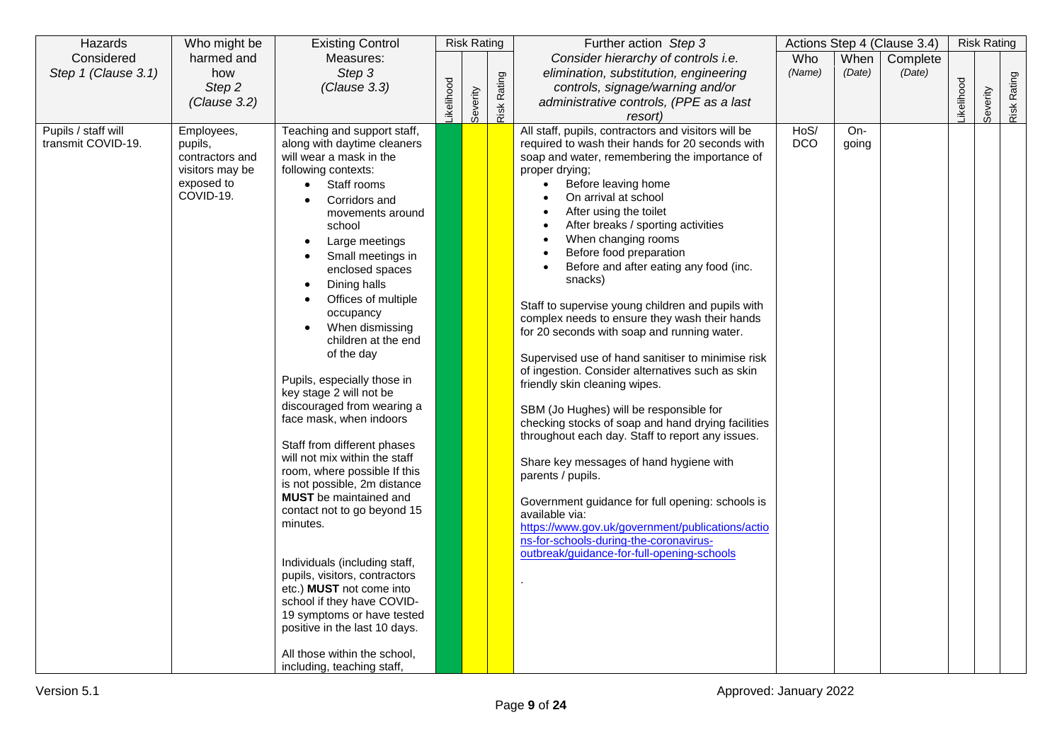| Hazards                                   | Who might be                                                                           | <b>Existing Control</b>                                                                                                                                                                                                                                                                                                                                                                                                                                                                                                                                                                                                                                                                                                                                                                                                                                                                                                                                                   | <b>Risk Rating</b> | Further action Step 3 |             |                                                                                                                                                                                                                                                                                                                                                                                                                                                                                                                                                                                                                                                                                                                                                                                                                                                                                                                                                                                                                                                                                                                                                     | Actions Step 4 (Clause 3.4) |              | <b>Risk Rating</b> |                  |          |             |
|-------------------------------------------|----------------------------------------------------------------------------------------|---------------------------------------------------------------------------------------------------------------------------------------------------------------------------------------------------------------------------------------------------------------------------------------------------------------------------------------------------------------------------------------------------------------------------------------------------------------------------------------------------------------------------------------------------------------------------------------------------------------------------------------------------------------------------------------------------------------------------------------------------------------------------------------------------------------------------------------------------------------------------------------------------------------------------------------------------------------------------|--------------------|-----------------------|-------------|-----------------------------------------------------------------------------------------------------------------------------------------------------------------------------------------------------------------------------------------------------------------------------------------------------------------------------------------------------------------------------------------------------------------------------------------------------------------------------------------------------------------------------------------------------------------------------------------------------------------------------------------------------------------------------------------------------------------------------------------------------------------------------------------------------------------------------------------------------------------------------------------------------------------------------------------------------------------------------------------------------------------------------------------------------------------------------------------------------------------------------------------------------|-----------------------------|--------------|--------------------|------------------|----------|-------------|
| Considered                                | harmed and                                                                             | Measures:                                                                                                                                                                                                                                                                                                                                                                                                                                                                                                                                                                                                                                                                                                                                                                                                                                                                                                                                                                 |                    |                       |             | Consider hierarchy of controls i.e.                                                                                                                                                                                                                                                                                                                                                                                                                                                                                                                                                                                                                                                                                                                                                                                                                                                                                                                                                                                                                                                                                                                 | Who                         | When         | Complete           |                  |          |             |
| Step 1 (Clause 3.1)                       | how<br>Step 2                                                                          | Step 3<br>(Clause 3.3)                                                                                                                                                                                                                                                                                                                                                                                                                                                                                                                                                                                                                                                                                                                                                                                                                                                                                                                                                    |                    |                       |             | elimination, substitution, engineering<br>controls, signage/warning and/or                                                                                                                                                                                                                                                                                                                                                                                                                                                                                                                                                                                                                                                                                                                                                                                                                                                                                                                                                                                                                                                                          | (Name)                      | (Date)       | (Date)             |                  |          |             |
|                                           | (Clause 3.2)                                                                           |                                                                                                                                                                                                                                                                                                                                                                                                                                                                                                                                                                                                                                                                                                                                                                                                                                                                                                                                                                           | <b>ikelihood</b>   |                       |             | administrative controls, (PPE as a last                                                                                                                                                                                                                                                                                                                                                                                                                                                                                                                                                                                                                                                                                                                                                                                                                                                                                                                                                                                                                                                                                                             |                             |              |                    | <b>ikelihood</b> |          |             |
|                                           |                                                                                        |                                                                                                                                                                                                                                                                                                                                                                                                                                                                                                                                                                                                                                                                                                                                                                                                                                                                                                                                                                           |                    | Severity              | Risk Rating | resort)                                                                                                                                                                                                                                                                                                                                                                                                                                                                                                                                                                                                                                                                                                                                                                                                                                                                                                                                                                                                                                                                                                                                             |                             |              |                    |                  | Severity | Risk Rating |
| Pupils / staff will<br>transmit COVID-19. | Employees,<br>pupils,<br>contractors and<br>visitors may be<br>exposed to<br>COVID-19. | Teaching and support staff,<br>along with daytime cleaners<br>will wear a mask in the<br>following contexts:<br>Staff rooms<br>$\bullet$<br>Corridors and<br>$\bullet$<br>movements around<br>school<br>Large meetings<br>Small meetings in<br>enclosed spaces<br>Dining halls<br>Offices of multiple<br>occupancy<br>When dismissing<br>children at the end<br>of the day<br>Pupils, especially those in<br>key stage 2 will not be<br>discouraged from wearing a<br>face mask, when indoors<br>Staff from different phases<br>will not mix within the staff<br>room, where possible If this<br>is not possible, 2m distance<br><b>MUST</b> be maintained and<br>contact not to go beyond 15<br>minutes.<br>Individuals (including staff,<br>pupils, visitors, contractors<br>etc.) <b>MUST</b> not come into<br>school if they have COVID-<br>19 symptoms or have tested<br>positive in the last 10 days.<br>All those within the school,<br>including, teaching staff, |                    |                       |             | All staff, pupils, contractors and visitors will be<br>required to wash their hands for 20 seconds with<br>soap and water, remembering the importance of<br>proper drying;<br>Before leaving home<br>$\bullet$<br>On arrival at school<br>After using the toilet<br>After breaks / sporting activities<br>When changing rooms<br>Before food preparation<br>Before and after eating any food (inc.<br>snacks)<br>Staff to supervise young children and pupils with<br>complex needs to ensure they wash their hands<br>for 20 seconds with soap and running water.<br>Supervised use of hand sanitiser to minimise risk<br>of ingestion. Consider alternatives such as skin<br>friendly skin cleaning wipes.<br>SBM (Jo Hughes) will be responsible for<br>checking stocks of soap and hand drying facilities<br>throughout each day. Staff to report any issues.<br>Share key messages of hand hygiene with<br>parents / pupils.<br>Government guidance for full opening: schools is<br>available via:<br>https://www.gov.uk/government/publications/actio<br>ns-for-schools-during-the-coronavirus-<br>outbreak/guidance-for-full-opening-schools | HoS/<br><b>DCO</b>          | On-<br>going |                    |                  |          |             |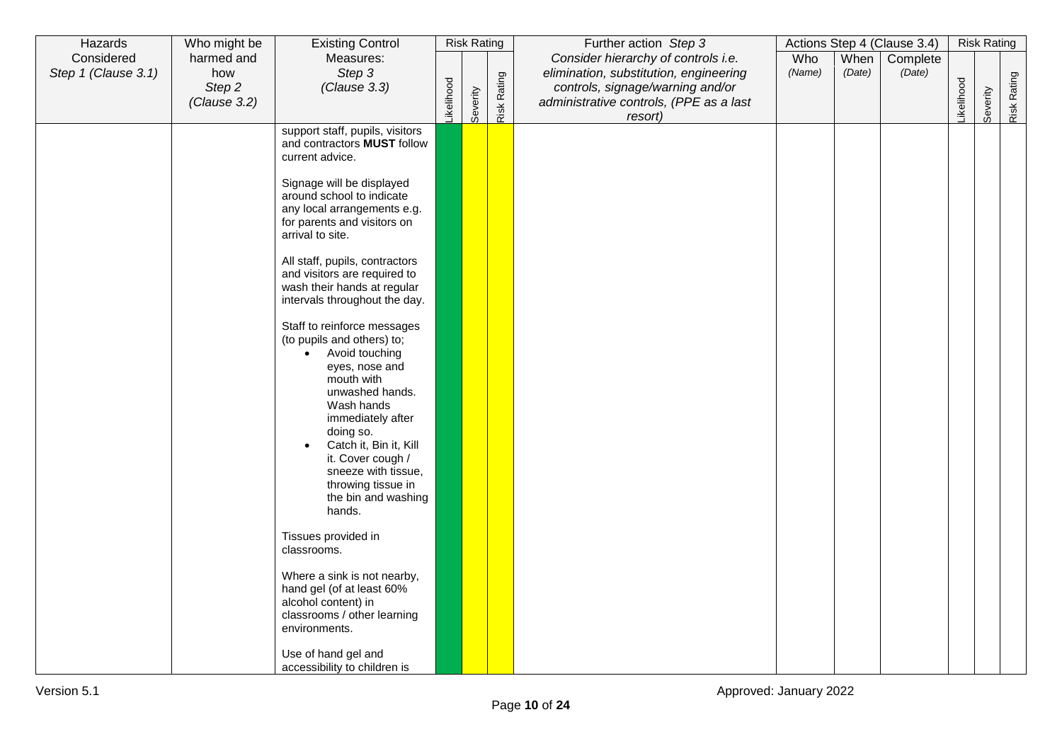| Hazards             | Who might be  | <b>Existing Control</b>                                                                                                                                                                                                                                |           | <b>Risk Rating</b> |             | Further action Step 3                                                      |        |        | Actions Step 4 (Clause 3.4) |           | <b>Risk Rating</b> |             |
|---------------------|---------------|--------------------------------------------------------------------------------------------------------------------------------------------------------------------------------------------------------------------------------------------------------|-----------|--------------------|-------------|----------------------------------------------------------------------------|--------|--------|-----------------------------|-----------|--------------------|-------------|
| Considered          | harmed and    | Measures:                                                                                                                                                                                                                                              |           |                    |             | Consider hierarchy of controls i.e.                                        | Who    | When   | Complete                    |           |                    |             |
| Step 1 (Clause 3.1) | how<br>Step 2 | Step 3<br>(Clause 3.3)                                                                                                                                                                                                                                 |           |                    |             | elimination, substitution, engineering<br>controls, signage/warning and/or | (Name) | (Date) | (Date)                      |           |                    |             |
|                     | (Clause 3.2)  |                                                                                                                                                                                                                                                        | ikelihood |                    |             | administrative controls, (PPE as a last                                    |        |        |                             | ikelihood |                    |             |
|                     |               |                                                                                                                                                                                                                                                        |           | Severity           | Risk Rating | resort)                                                                    |        |        |                             |           | Severity           | Risk Rating |
|                     |               | support staff, pupils, visitors<br>and contractors MUST follow<br>current advice.                                                                                                                                                                      |           |                    |             |                                                                            |        |        |                             |           |                    |             |
|                     |               | Signage will be displayed<br>around school to indicate<br>any local arrangements e.g.<br>for parents and visitors on<br>arrival to site.                                                                                                               |           |                    |             |                                                                            |        |        |                             |           |                    |             |
|                     |               | All staff, pupils, contractors<br>and visitors are required to<br>wash their hands at regular<br>intervals throughout the day.                                                                                                                         |           |                    |             |                                                                            |        |        |                             |           |                    |             |
|                     |               | Staff to reinforce messages<br>(to pupils and others) to;<br>• Avoid touching<br>eyes, nose and<br>mouth with<br>unwashed hands.<br>Wash hands<br>immediately after<br>doing so.<br>Catch it, Bin it, Kill<br>it. Cover cough /<br>sneeze with tissue, |           |                    |             |                                                                            |        |        |                             |           |                    |             |
|                     |               | throwing tissue in<br>the bin and washing<br>hands.                                                                                                                                                                                                    |           |                    |             |                                                                            |        |        |                             |           |                    |             |
|                     |               | Tissues provided in<br>classrooms.                                                                                                                                                                                                                     |           |                    |             |                                                                            |        |        |                             |           |                    |             |
|                     |               | Where a sink is not nearby,<br>hand gel (of at least 60%<br>alcohol content) in<br>classrooms / other learning<br>environments.                                                                                                                        |           |                    |             |                                                                            |        |        |                             |           |                    |             |
|                     |               | Use of hand gel and<br>accessibility to children is                                                                                                                                                                                                    |           |                    |             |                                                                            |        |        |                             |           |                    |             |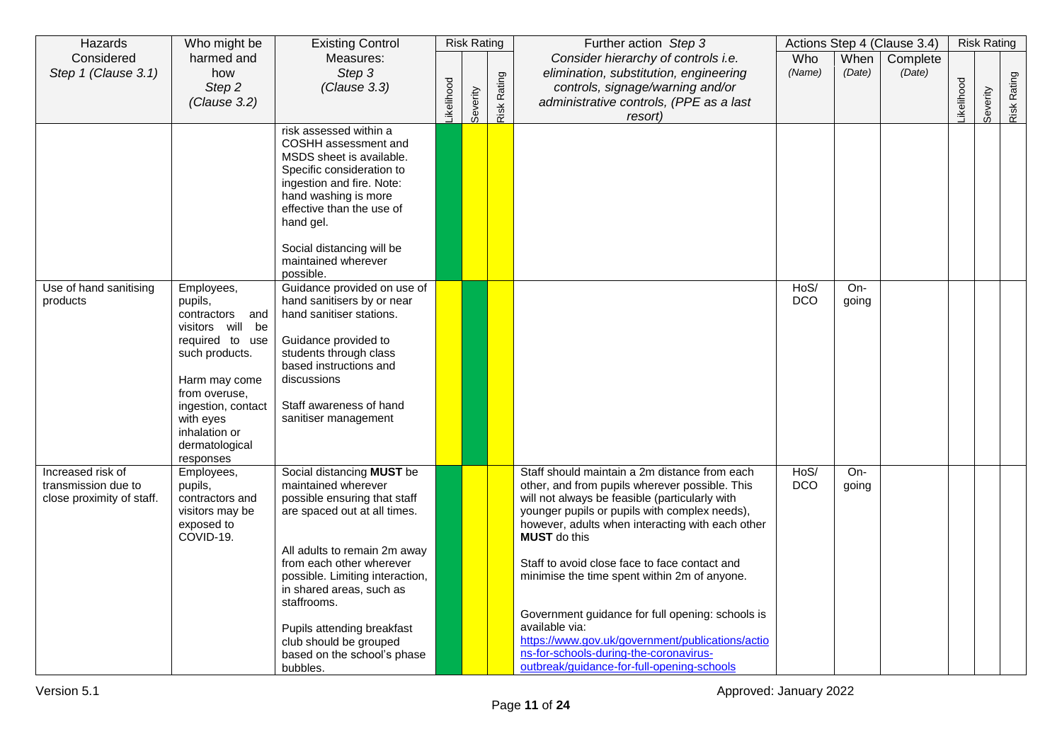| Hazards                                                               | Who might be                                                                                                                                                                                                           | <b>Existing Control</b>                                                                                                                                                                                                                                                                                                                                       |           | <b>Risk Rating</b> |             | Further action Step 3                                                                                                                                                                                                                                                                                                                                                                                                                                                                                                                                                                            |                    |                | Actions Step 4 (Clause 3.4) |           | <b>Risk Rating</b> |                    |
|-----------------------------------------------------------------------|------------------------------------------------------------------------------------------------------------------------------------------------------------------------------------------------------------------------|---------------------------------------------------------------------------------------------------------------------------------------------------------------------------------------------------------------------------------------------------------------------------------------------------------------------------------------------------------------|-----------|--------------------|-------------|--------------------------------------------------------------------------------------------------------------------------------------------------------------------------------------------------------------------------------------------------------------------------------------------------------------------------------------------------------------------------------------------------------------------------------------------------------------------------------------------------------------------------------------------------------------------------------------------------|--------------------|----------------|-----------------------------|-----------|--------------------|--------------------|
| Considered<br>Step 1 (Clause 3.1)                                     | harmed and<br>how<br>Step 2<br>(Clause 3.2)                                                                                                                                                                            | Measures:<br>Step 3<br>(Clause 3.3)                                                                                                                                                                                                                                                                                                                           | ikelihood | Severity           | Risk Rating | Consider hierarchy of controls i.e.<br>elimination, substitution, engineering<br>controls, signage/warning and/or<br>administrative controls, (PPE as a last<br>resort)                                                                                                                                                                                                                                                                                                                                                                                                                          | Who<br>(Name)      | When<br>(Date) | Complete<br>(Date)          | ikelihood | Severity           | <b>Risk Rating</b> |
|                                                                       |                                                                                                                                                                                                                        | risk assessed within a<br>COSHH assessment and<br>MSDS sheet is available.<br>Specific consideration to<br>ingestion and fire. Note:<br>hand washing is more<br>effective than the use of<br>hand gel.<br>Social distancing will be<br>maintained wherever<br>possible.                                                                                       |           |                    |             |                                                                                                                                                                                                                                                                                                                                                                                                                                                                                                                                                                                                  |                    |                |                             |           |                    |                    |
| Use of hand sanitising<br>products                                    | Employees,<br>pupils,<br>contractors and<br>visitors will be<br>required to use<br>such products.<br>Harm may come<br>from overuse,<br>ingestion, contact<br>with eyes<br>inhalation or<br>dermatological<br>responses | Guidance provided on use of<br>hand sanitisers by or near<br>hand sanitiser stations.<br>Guidance provided to<br>students through class<br>based instructions and<br>discussions<br>Staff awareness of hand<br>sanitiser management                                                                                                                           |           |                    |             |                                                                                                                                                                                                                                                                                                                                                                                                                                                                                                                                                                                                  | HoS/<br><b>DCO</b> | On-<br>going   |                             |           |                    |                    |
| Increased risk of<br>transmission due to<br>close proximity of staff. | Employees,<br>pupils,<br>contractors and<br>visitors may be<br>exposed to<br>COVID-19.                                                                                                                                 | Social distancing MUST be<br>maintained wherever<br>possible ensuring that staff<br>are spaced out at all times.<br>All adults to remain 2m away<br>from each other wherever<br>possible. Limiting interaction,<br>in shared areas, such as<br>staffrooms.<br>Pupils attending breakfast<br>club should be grouped<br>based on the school's phase<br>bubbles. |           |                    |             | Staff should maintain a 2m distance from each<br>other, and from pupils wherever possible. This<br>will not always be feasible (particularly with<br>younger pupils or pupils with complex needs),<br>however, adults when interacting with each other<br><b>MUST</b> do this<br>Staff to avoid close face to face contact and<br>minimise the time spent within 2m of anyone.<br>Government guidance for full opening: schools is<br>available via:<br>https://www.gov.uk/government/publications/actio<br>ns-for-schools-during-the-coronavirus-<br>outbreak/guidance-for-full-opening-schools | HoS/<br><b>DCO</b> | $On-$<br>going |                             |           |                    |                    |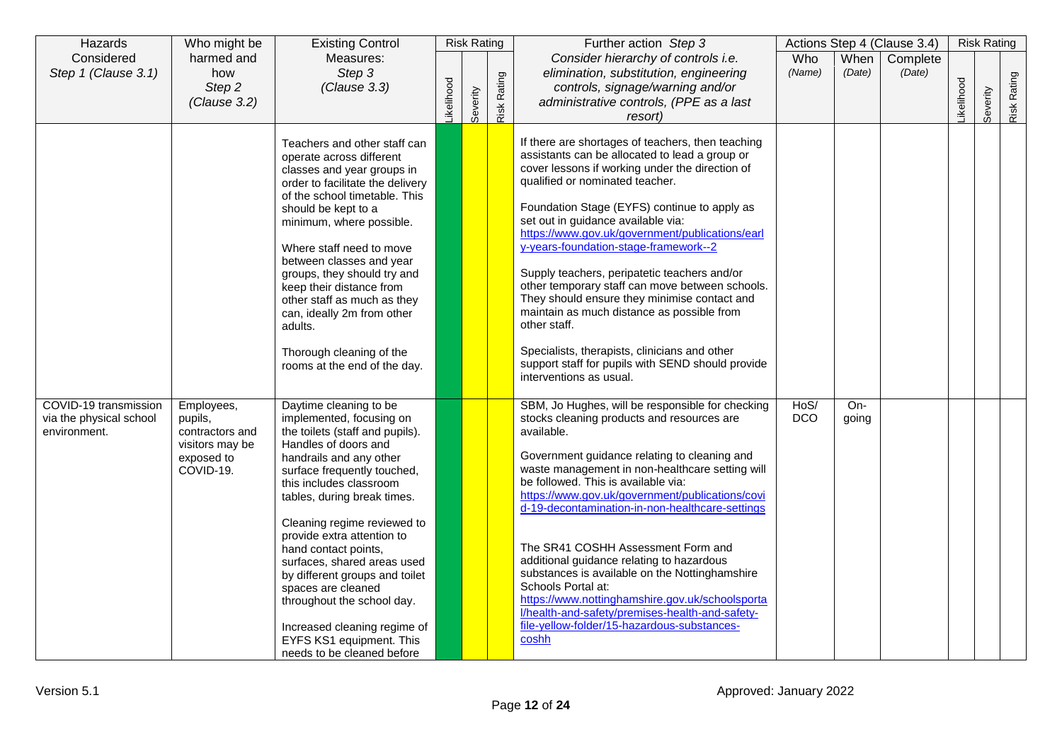| Hazards                                                          | Who might be                                                                           | <b>Existing Control</b>                                                                                                                                                                                                                                                                                                                                                                                                                                                                                                               |           | <b>Risk Rating</b> |             | Further action Step 3                                                                                                                                                                                                                                                                                                                                                                                                                                                                                                                                                                                                                                                                                                         |                    |                | Actions Step 4 (Clause 3.4) |                  | <b>Risk Rating</b> |             |
|------------------------------------------------------------------|----------------------------------------------------------------------------------------|---------------------------------------------------------------------------------------------------------------------------------------------------------------------------------------------------------------------------------------------------------------------------------------------------------------------------------------------------------------------------------------------------------------------------------------------------------------------------------------------------------------------------------------|-----------|--------------------|-------------|-------------------------------------------------------------------------------------------------------------------------------------------------------------------------------------------------------------------------------------------------------------------------------------------------------------------------------------------------------------------------------------------------------------------------------------------------------------------------------------------------------------------------------------------------------------------------------------------------------------------------------------------------------------------------------------------------------------------------------|--------------------|----------------|-----------------------------|------------------|--------------------|-------------|
| Considered<br>Step 1 (Clause 3.1)                                | harmed and<br>how<br>Step 2<br>(Clause 3.2)                                            | Measures:<br>Step 3<br>(Clause 3.3)                                                                                                                                                                                                                                                                                                                                                                                                                                                                                                   | ikelihood | Severity           | Risk Rating | Consider hierarchy of controls i.e.<br>elimination, substitution, engineering<br>controls, signage/warning and/or<br>administrative controls, (PPE as a last<br>resort)                                                                                                                                                                                                                                                                                                                                                                                                                                                                                                                                                       | Who<br>(Name)      | When<br>(Date) | Complete<br>(Date)          | <b>ikelihood</b> | Severity           | Risk Rating |
|                                                                  |                                                                                        | Teachers and other staff can<br>operate across different<br>classes and year groups in<br>order to facilitate the delivery<br>of the school timetable. This<br>should be kept to a<br>minimum, where possible.<br>Where staff need to move<br>between classes and year<br>groups, they should try and<br>keep their distance from<br>other staff as much as they<br>can, ideally 2m from other<br>adults.<br>Thorough cleaning of the<br>rooms at the end of the day.                                                                 |           |                    |             | If there are shortages of teachers, then teaching<br>assistants can be allocated to lead a group or<br>cover lessons if working under the direction of<br>qualified or nominated teacher.<br>Foundation Stage (EYFS) continue to apply as<br>set out in guidance available via:<br>https://www.gov.uk/government/publications/earl<br>y-years-foundation-stage-framework--2<br>Supply teachers, peripatetic teachers and/or<br>other temporary staff can move between schools.<br>They should ensure they minimise contact and<br>maintain as much distance as possible from<br>other staff.<br>Specialists, therapists, clinicians and other<br>support staff for pupils with SEND should provide<br>interventions as usual. |                    |                |                             |                  |                    |             |
| COVID-19 transmission<br>via the physical school<br>environment. | Employees,<br>pupils,<br>contractors and<br>visitors may be<br>exposed to<br>COVID-19. | Daytime cleaning to be<br>implemented, focusing on<br>the toilets (staff and pupils).<br>Handles of doors and<br>handrails and any other<br>surface frequently touched,<br>this includes classroom<br>tables, during break times.<br>Cleaning regime reviewed to<br>provide extra attention to<br>hand contact points,<br>surfaces, shared areas used<br>by different groups and toilet<br>spaces are cleaned<br>throughout the school day.<br>Increased cleaning regime of<br>EYFS KS1 equipment. This<br>needs to be cleaned before |           |                    |             | SBM, Jo Hughes, will be responsible for checking<br>stocks cleaning products and resources are<br>available.<br>Government guidance relating to cleaning and<br>waste management in non-healthcare setting will<br>be followed. This is available via:<br>https://www.gov.uk/government/publications/covi<br>d-19-decontamination-in-non-healthcare-settings<br>The SR41 COSHH Assessment Form and<br>additional guidance relating to hazardous<br>substances is available on the Nottinghamshire<br>Schools Portal at:<br>https://www.nottinghamshire.gov.uk/schoolsporta<br>l/health-and-safety/premises-health-and-safety-<br>file-yellow-folder/15-hazardous-substances-<br>coshh                                         | HoS/<br><b>DCO</b> | On-<br>going   |                             |                  |                    |             |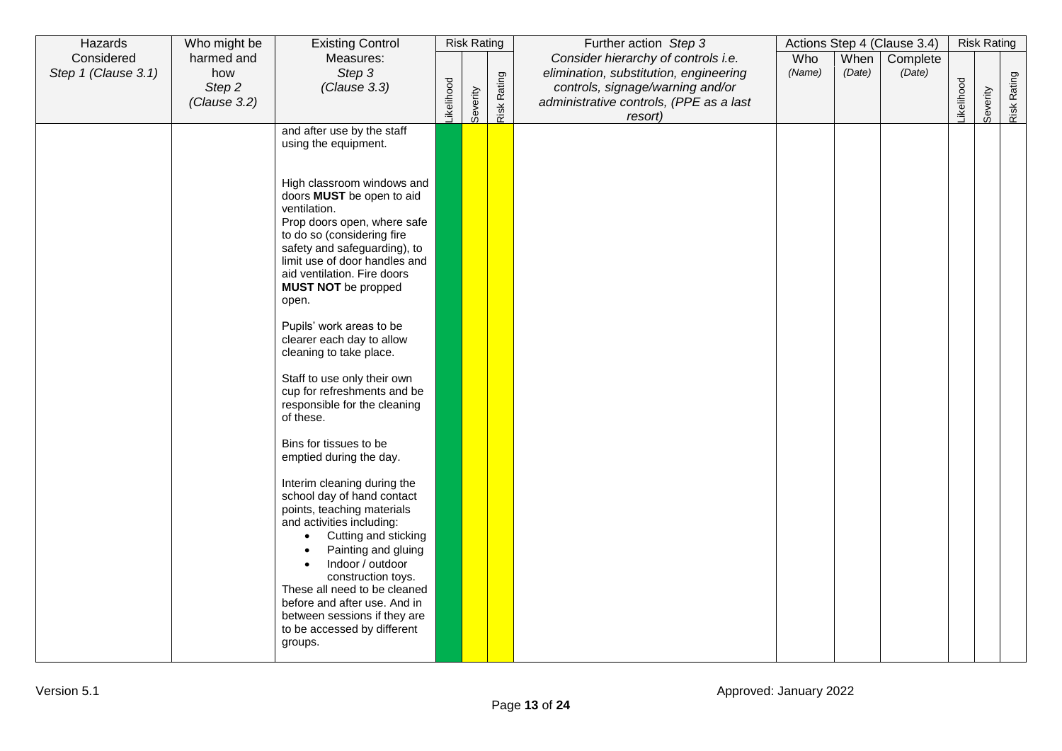| Hazards             | Who might be | <b>Existing Control</b>                                   |                  | <b>Risk Rating</b> |                    | Further action Step 3                   |        |        | Actions Step 4 (Clause 3.4) |           | <b>Risk Rating</b> |             |
|---------------------|--------------|-----------------------------------------------------------|------------------|--------------------|--------------------|-----------------------------------------|--------|--------|-----------------------------|-----------|--------------------|-------------|
| Considered          | harmed and   | Measures:                                                 |                  |                    |                    | Consider hierarchy of controls i.e.     | Who    | When   | Complete                    |           |                    |             |
| Step 1 (Clause 3.1) | how          | Step 3                                                    |                  |                    |                    | elimination, substitution, engineering  | (Name) | (Date) | (Date)                      |           |                    |             |
|                     | Step 2       | (Clause 3.3)                                              |                  |                    |                    | controls, signage/warning and/or        |        |        |                             |           |                    |             |
|                     | (Clause 3.2) |                                                           | <b>ikelihood</b> | Severity           | <b>Risk Rating</b> | administrative controls, (PPE as a last |        |        |                             | ikelihood | Severity           | Risk Rating |
|                     |              |                                                           |                  |                    |                    | resort)                                 |        |        |                             |           |                    |             |
|                     |              | and after use by the staff<br>using the equipment.        |                  |                    |                    |                                         |        |        |                             |           |                    |             |
|                     |              |                                                           |                  |                    |                    |                                         |        |        |                             |           |                    |             |
|                     |              |                                                           |                  |                    |                    |                                         |        |        |                             |           |                    |             |
|                     |              | High classroom windows and                                |                  |                    |                    |                                         |        |        |                             |           |                    |             |
|                     |              | doors MUST be open to aid<br>ventilation.                 |                  |                    |                    |                                         |        |        |                             |           |                    |             |
|                     |              | Prop doors open, where safe                               |                  |                    |                    |                                         |        |        |                             |           |                    |             |
|                     |              | to do so (considering fire                                |                  |                    |                    |                                         |        |        |                             |           |                    |             |
|                     |              | safety and safeguarding), to                              |                  |                    |                    |                                         |        |        |                             |           |                    |             |
|                     |              | limit use of door handles and                             |                  |                    |                    |                                         |        |        |                             |           |                    |             |
|                     |              | aid ventilation. Fire doors<br><b>MUST NOT</b> be propped |                  |                    |                    |                                         |        |        |                             |           |                    |             |
|                     |              | open.                                                     |                  |                    |                    |                                         |        |        |                             |           |                    |             |
|                     |              |                                                           |                  |                    |                    |                                         |        |        |                             |           |                    |             |
|                     |              | Pupils' work areas to be                                  |                  |                    |                    |                                         |        |        |                             |           |                    |             |
|                     |              | clearer each day to allow                                 |                  |                    |                    |                                         |        |        |                             |           |                    |             |
|                     |              | cleaning to take place.                                   |                  |                    |                    |                                         |        |        |                             |           |                    |             |
|                     |              | Staff to use only their own                               |                  |                    |                    |                                         |        |        |                             |           |                    |             |
|                     |              | cup for refreshments and be                               |                  |                    |                    |                                         |        |        |                             |           |                    |             |
|                     |              | responsible for the cleaning                              |                  |                    |                    |                                         |        |        |                             |           |                    |             |
|                     |              | of these.                                                 |                  |                    |                    |                                         |        |        |                             |           |                    |             |
|                     |              | Bins for tissues to be                                    |                  |                    |                    |                                         |        |        |                             |           |                    |             |
|                     |              | emptied during the day.                                   |                  |                    |                    |                                         |        |        |                             |           |                    |             |
|                     |              |                                                           |                  |                    |                    |                                         |        |        |                             |           |                    |             |
|                     |              | Interim cleaning during the<br>school day of hand contact |                  |                    |                    |                                         |        |        |                             |           |                    |             |
|                     |              | points, teaching materials                                |                  |                    |                    |                                         |        |        |                             |           |                    |             |
|                     |              | and activities including:                                 |                  |                    |                    |                                         |        |        |                             |           |                    |             |
|                     |              | Cutting and sticking                                      |                  |                    |                    |                                         |        |        |                             |           |                    |             |
|                     |              | Painting and gluing                                       |                  |                    |                    |                                         |        |        |                             |           |                    |             |
|                     |              | Indoor / outdoor<br>$\bullet$                             |                  |                    |                    |                                         |        |        |                             |           |                    |             |
|                     |              | construction toys.<br>These all need to be cleaned        |                  |                    |                    |                                         |        |        |                             |           |                    |             |
|                     |              | before and after use. And in                              |                  |                    |                    |                                         |        |        |                             |           |                    |             |
|                     |              | between sessions if they are                              |                  |                    |                    |                                         |        |        |                             |           |                    |             |
|                     |              | to be accessed by different                               |                  |                    |                    |                                         |        |        |                             |           |                    |             |
|                     |              | groups.                                                   |                  |                    |                    |                                         |        |        |                             |           |                    |             |
|                     |              |                                                           |                  |                    |                    |                                         |        |        |                             |           |                    |             |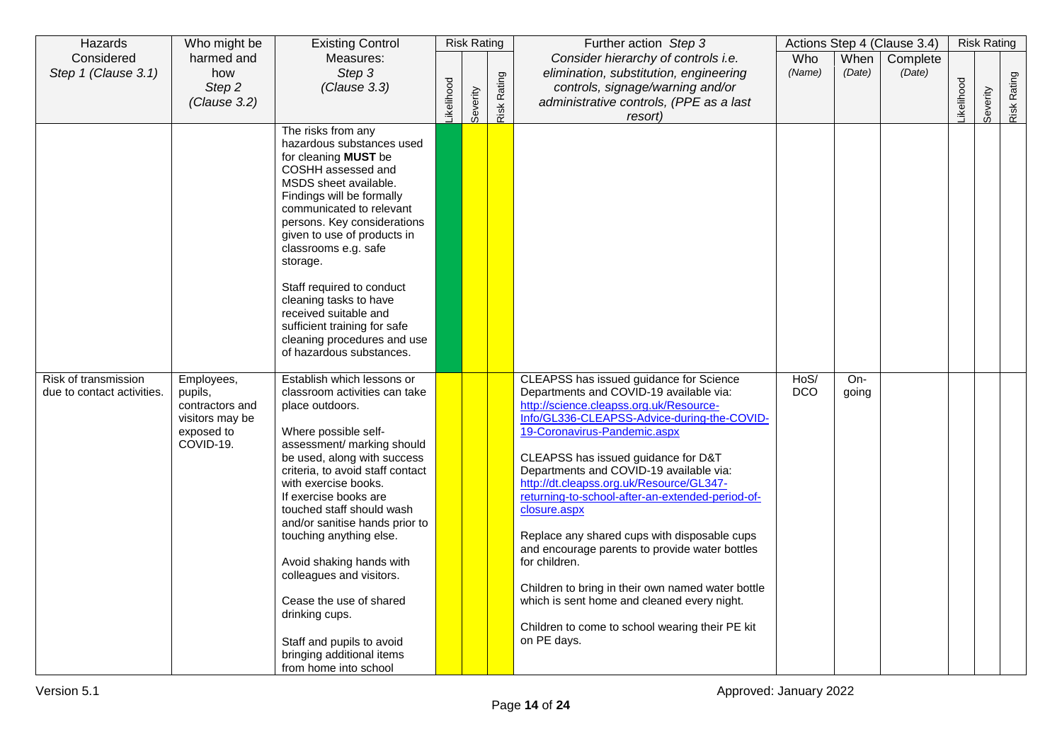| Hazards                                            | Who might be                                                                           | <b>Existing Control</b>                                                                                                                                                                                                                                                                                                                                                                                                                                                                                                                    |           | <b>Risk Rating</b> |             | Further action Step 3                                                                                                                                                                                                                                                                                                                                                                                                                                                                                                                                                                                                                                                                                   |                    |              | Actions Step 4 (Clause 3.4) |            | <b>Risk Rating</b> |             |
|----------------------------------------------------|----------------------------------------------------------------------------------------|--------------------------------------------------------------------------------------------------------------------------------------------------------------------------------------------------------------------------------------------------------------------------------------------------------------------------------------------------------------------------------------------------------------------------------------------------------------------------------------------------------------------------------------------|-----------|--------------------|-------------|---------------------------------------------------------------------------------------------------------------------------------------------------------------------------------------------------------------------------------------------------------------------------------------------------------------------------------------------------------------------------------------------------------------------------------------------------------------------------------------------------------------------------------------------------------------------------------------------------------------------------------------------------------------------------------------------------------|--------------------|--------------|-----------------------------|------------|--------------------|-------------|
| Considered                                         | harmed and                                                                             | Measures:                                                                                                                                                                                                                                                                                                                                                                                                                                                                                                                                  |           |                    |             | Consider hierarchy of controls i.e.                                                                                                                                                                                                                                                                                                                                                                                                                                                                                                                                                                                                                                                                     | Who                | When         | Complete                    |            |                    |             |
| Step 1 (Clause 3.1)                                | how                                                                                    | Step 3                                                                                                                                                                                                                                                                                                                                                                                                                                                                                                                                     |           |                    |             | elimination, substitution, engineering                                                                                                                                                                                                                                                                                                                                                                                                                                                                                                                                                                                                                                                                  | (Name)             | (Date)       | (Date)                      |            |                    |             |
|                                                    | Step 2                                                                                 | (Clause 3.3)                                                                                                                                                                                                                                                                                                                                                                                                                                                                                                                               |           |                    |             | controls, signage/warning and/or                                                                                                                                                                                                                                                                                                                                                                                                                                                                                                                                                                                                                                                                        |                    |              |                             |            |                    |             |
|                                                    | (Clause 3.2)                                                                           |                                                                                                                                                                                                                                                                                                                                                                                                                                                                                                                                            | ikelihood | Severity           | Risk Rating | administrative controls, (PPE as a last<br>resort)                                                                                                                                                                                                                                                                                                                                                                                                                                                                                                                                                                                                                                                      |                    |              |                             | Likelihood | Severity           | Risk Rating |
|                                                    |                                                                                        | The risks from any<br>hazardous substances used<br>for cleaning MUST be<br>COSHH assessed and<br>MSDS sheet available.<br>Findings will be formally<br>communicated to relevant<br>persons. Key considerations<br>given to use of products in<br>classrooms e.g. safe<br>storage.<br>Staff required to conduct<br>cleaning tasks to have<br>received suitable and<br>sufficient training for safe<br>cleaning procedures and use<br>of hazardous substances.                                                                               |           |                    |             |                                                                                                                                                                                                                                                                                                                                                                                                                                                                                                                                                                                                                                                                                                         |                    |              |                             |            |                    |             |
| Risk of transmission<br>due to contact activities. | Employees,<br>pupils,<br>contractors and<br>visitors may be<br>exposed to<br>COVID-19. | Establish which lessons or<br>classroom activities can take<br>place outdoors.<br>Where possible self-<br>assessment/ marking should<br>be used, along with success<br>criteria, to avoid staff contact<br>with exercise books.<br>If exercise books are<br>touched staff should wash<br>and/or sanitise hands prior to<br>touching anything else.<br>Avoid shaking hands with<br>colleagues and visitors.<br>Cease the use of shared<br>drinking cups.<br>Staff and pupils to avoid<br>bringing additional items<br>from home into school |           |                    |             | CLEAPSS has issued guidance for Science<br>Departments and COVID-19 available via:<br>http://science.cleapss.org.uk/Resource-<br>Info/GL336-CLEAPSS-Advice-during-the-COVID-<br>19-Coronavirus-Pandemic.aspx<br>CLEAPSS has issued guidance for D&T<br>Departments and COVID-19 available via:<br>http://dt.cleapss.org.uk/Resource/GL347-<br>returning-to-school-after-an-extended-period-of-<br>closure.aspx<br>Replace any shared cups with disposable cups<br>and encourage parents to provide water bottles<br>for children.<br>Children to bring in their own named water bottle<br>which is sent home and cleaned every night.<br>Children to come to school wearing their PE kit<br>on PE days. | HoS/<br><b>DCO</b> | On-<br>going |                             |            |                    |             |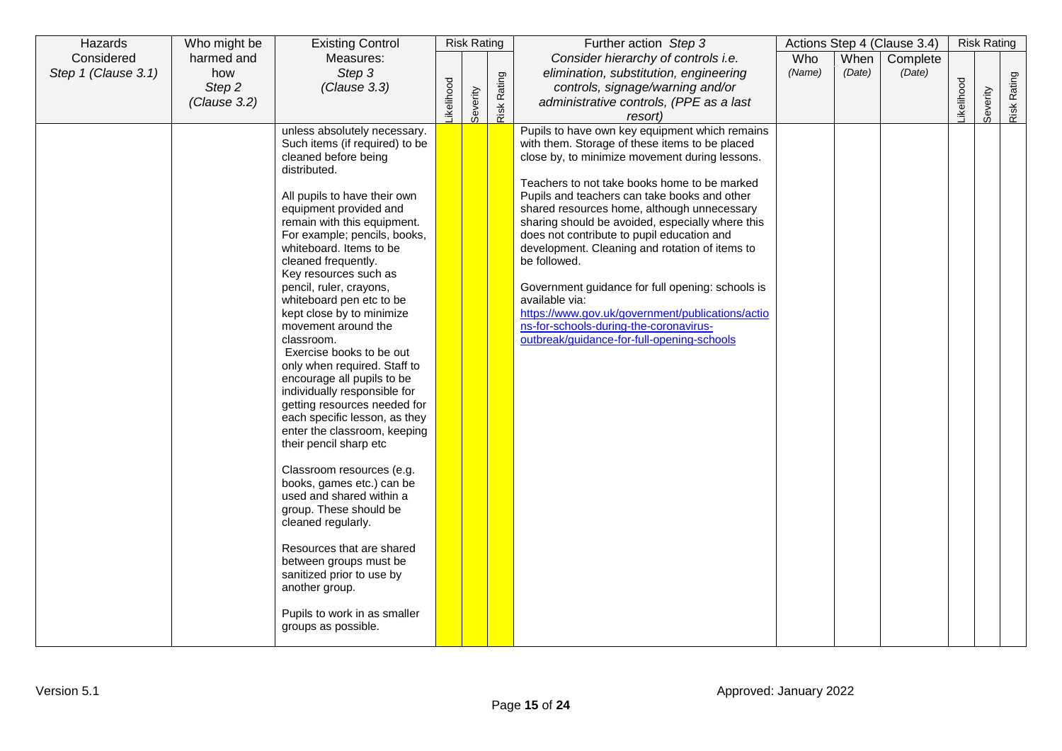| Hazards             | Who might be | <b>Existing Control</b>                             |            | <b>Risk Rating</b> |             | Further action Step 3                                          |            |        | Actions Step 4 (Clause 3.4) |           | <b>Risk Rating</b> |             |
|---------------------|--------------|-----------------------------------------------------|------------|--------------------|-------------|----------------------------------------------------------------|------------|--------|-----------------------------|-----------|--------------------|-------------|
| Considered          | harmed and   | Measures:                                           |            |                    |             | Consider hierarchy of controls i.e.                            | <b>Who</b> | When   | Complete                    |           |                    |             |
| Step 1 (Clause 3.1) | how          | Step 3                                              |            |                    |             | elimination, substitution, engineering                         | (Name)     | (Date) | (Date)                      |           |                    |             |
|                     | Step 2       | (Clause 3.3)                                        |            |                    |             | controls, signage/warning and/or                               |            |        |                             |           |                    |             |
|                     | (Clause 3.2) |                                                     | Likelihood | Severity           | Risk Rating | administrative controls, (PPE as a last                        |            |        |                             | ikelihood | Severity           | Risk Rating |
|                     |              |                                                     |            |                    |             | resort)                                                        |            |        |                             |           |                    |             |
|                     |              | unless absolutely necessary.                        |            |                    |             | Pupils to have own key equipment which remains                 |            |        |                             |           |                    |             |
|                     |              | Such items (if required) to be                      |            |                    |             | with them. Storage of these items to be placed                 |            |        |                             |           |                    |             |
|                     |              | cleaned before being<br>distributed.                |            |                    |             | close by, to minimize movement during lessons.                 |            |        |                             |           |                    |             |
|                     |              |                                                     |            |                    |             | Teachers to not take books home to be marked                   |            |        |                             |           |                    |             |
|                     |              | All pupils to have their own                        |            |                    |             | Pupils and teachers can take books and other                   |            |        |                             |           |                    |             |
|                     |              | equipment provided and                              |            |                    |             | shared resources home, although unnecessary                    |            |        |                             |           |                    |             |
|                     |              | remain with this equipment.                         |            |                    |             | sharing should be avoided, especially where this               |            |        |                             |           |                    |             |
|                     |              | For example; pencils, books,                        |            |                    |             | does not contribute to pupil education and                     |            |        |                             |           |                    |             |
|                     |              | whiteboard. Items to be<br>cleaned frequently.      |            |                    |             | development. Cleaning and rotation of items to<br>be followed. |            |        |                             |           |                    |             |
|                     |              | Key resources such as                               |            |                    |             |                                                                |            |        |                             |           |                    |             |
|                     |              | pencil, ruler, crayons,                             |            |                    |             | Government guidance for full opening: schools is               |            |        |                             |           |                    |             |
|                     |              | whiteboard pen etc to be                            |            |                    |             | available via:                                                 |            |        |                             |           |                    |             |
|                     |              | kept close by to minimize                           |            |                    |             | https://www.gov.uk/government/publications/actio               |            |        |                             |           |                    |             |
|                     |              | movement around the                                 |            |                    |             | ns-for-schools-during-the-coronavirus-                         |            |        |                             |           |                    |             |
|                     |              | classroom.<br>Exercise books to be out              |            |                    |             | outbreak/guidance-for-full-opening-schools                     |            |        |                             |           |                    |             |
|                     |              | only when required. Staff to                        |            |                    |             |                                                                |            |        |                             |           |                    |             |
|                     |              | encourage all pupils to be                          |            |                    |             |                                                                |            |        |                             |           |                    |             |
|                     |              | individually responsible for                        |            |                    |             |                                                                |            |        |                             |           |                    |             |
|                     |              | getting resources needed for                        |            |                    |             |                                                                |            |        |                             |           |                    |             |
|                     |              | each specific lesson, as they                       |            |                    |             |                                                                |            |        |                             |           |                    |             |
|                     |              | enter the classroom, keeping                        |            |                    |             |                                                                |            |        |                             |           |                    |             |
|                     |              | their pencil sharp etc                              |            |                    |             |                                                                |            |        |                             |           |                    |             |
|                     |              | Classroom resources (e.g.                           |            |                    |             |                                                                |            |        |                             |           |                    |             |
|                     |              | books, games etc.) can be                           |            |                    |             |                                                                |            |        |                             |           |                    |             |
|                     |              | used and shared within a                            |            |                    |             |                                                                |            |        |                             |           |                    |             |
|                     |              | group. These should be                              |            |                    |             |                                                                |            |        |                             |           |                    |             |
|                     |              | cleaned regularly.                                  |            |                    |             |                                                                |            |        |                             |           |                    |             |
|                     |              | Resources that are shared                           |            |                    |             |                                                                |            |        |                             |           |                    |             |
|                     |              | between groups must be                              |            |                    |             |                                                                |            |        |                             |           |                    |             |
|                     |              | sanitized prior to use by                           |            |                    |             |                                                                |            |        |                             |           |                    |             |
|                     |              | another group.                                      |            |                    |             |                                                                |            |        |                             |           |                    |             |
|                     |              |                                                     |            |                    |             |                                                                |            |        |                             |           |                    |             |
|                     |              | Pupils to work in as smaller<br>groups as possible. |            |                    |             |                                                                |            |        |                             |           |                    |             |
|                     |              |                                                     |            |                    |             |                                                                |            |        |                             |           |                    |             |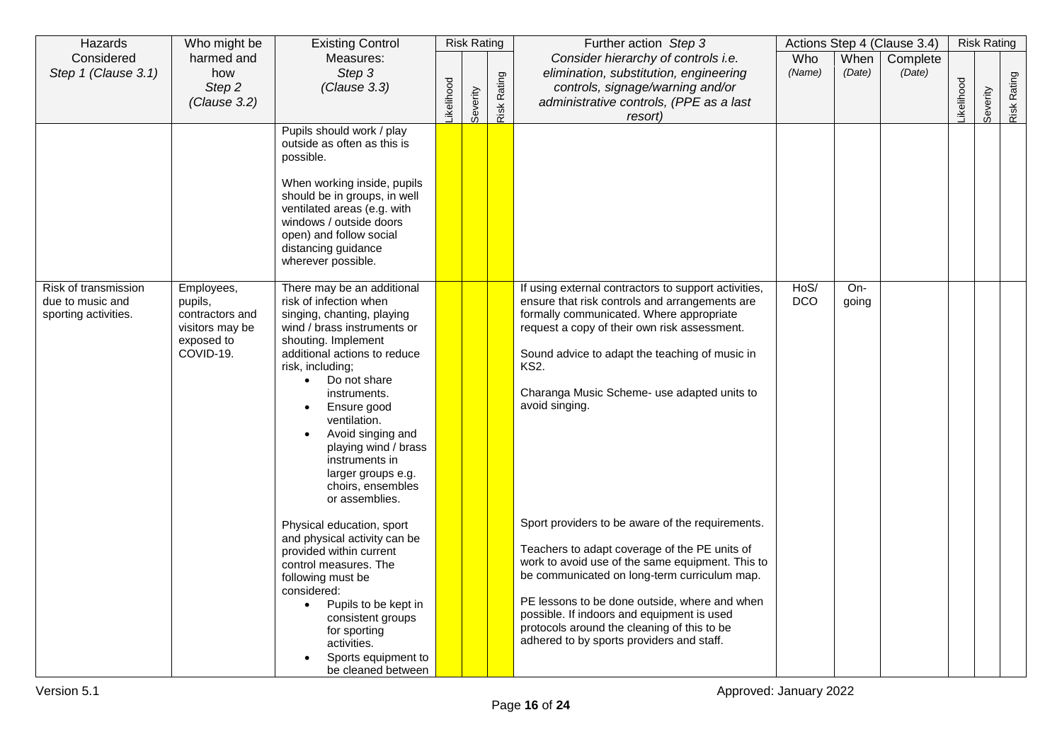| Hazards                                                          | Who might be                                                                           | <b>Existing Control</b>                                                                                                                                                                                                                                                                                                                                                                                                           |           | <b>Risk Rating</b> |             | Further action Step 3                                                                                                                                                                                                                                                                                                                                                                    |                    |                | Actions Step 4 (Clause 3.4) |            | <b>Risk Rating</b> |             |
|------------------------------------------------------------------|----------------------------------------------------------------------------------------|-----------------------------------------------------------------------------------------------------------------------------------------------------------------------------------------------------------------------------------------------------------------------------------------------------------------------------------------------------------------------------------------------------------------------------------|-----------|--------------------|-------------|------------------------------------------------------------------------------------------------------------------------------------------------------------------------------------------------------------------------------------------------------------------------------------------------------------------------------------------------------------------------------------------|--------------------|----------------|-----------------------------|------------|--------------------|-------------|
| Considered<br>Step 1 (Clause 3.1)                                | harmed and<br>how<br>Step 2<br>(Clause 3.2)                                            | Measures:<br>Step 3<br>(Clause 3.3)                                                                                                                                                                                                                                                                                                                                                                                               | ikelihood | Severity           | Risk Rating | Consider hierarchy of controls i.e.<br>elimination, substitution, engineering<br>controls, signage/warning and/or<br>administrative controls, (PPE as a last<br>resort)                                                                                                                                                                                                                  | Who<br>(Name)      | When<br>(Date) | Complete<br>(Date)          | Likelihood | Severity           | Risk Rating |
|                                                                  |                                                                                        | Pupils should work / play<br>outside as often as this is<br>possible.<br>When working inside, pupils<br>should be in groups, in well<br>ventilated areas (e.g. with<br>windows / outside doors<br>open) and follow social<br>distancing guidance<br>wherever possible.                                                                                                                                                            |           |                    |             |                                                                                                                                                                                                                                                                                                                                                                                          |                    |                |                             |            |                    |             |
| Risk of transmission<br>due to music and<br>sporting activities. | Employees,<br>pupils,<br>contractors and<br>visitors may be<br>exposed to<br>COVID-19. | There may be an additional<br>risk of infection when<br>singing, chanting, playing<br>wind / brass instruments or<br>shouting. Implement<br>additional actions to reduce<br>risk, including;<br>Do not share<br>$\bullet$<br>instruments.<br>Ensure good<br>ventilation.<br>Avoid singing and<br>playing wind / brass<br>instruments in<br>larger groups e.g.<br>choirs, ensembles<br>or assemblies.<br>Physical education, sport |           |                    |             | If using external contractors to support activities,<br>ensure that risk controls and arrangements are<br>formally communicated. Where appropriate<br>request a copy of their own risk assessment.<br>Sound advice to adapt the teaching of music in<br><b>KS2.</b><br>Charanga Music Scheme- use adapted units to<br>avoid singing.<br>Sport providers to be aware of the requirements. | HoS/<br><b>DCO</b> | $On-$<br>going |                             |            |                    |             |
|                                                                  |                                                                                        | and physical activity can be<br>provided within current<br>control measures. The<br>following must be<br>considered:<br>Pupils to be kept in<br>$\bullet$<br>consistent groups<br>for sporting<br>activities.<br>Sports equipment to<br>be cleaned between                                                                                                                                                                        |           |                    |             | Teachers to adapt coverage of the PE units of<br>work to avoid use of the same equipment. This to<br>be communicated on long-term curriculum map.<br>PE lessons to be done outside, where and when<br>possible. If indoors and equipment is used<br>protocols around the cleaning of this to be<br>adhered to by sports providers and staff.                                             |                    |                |                             |            |                    |             |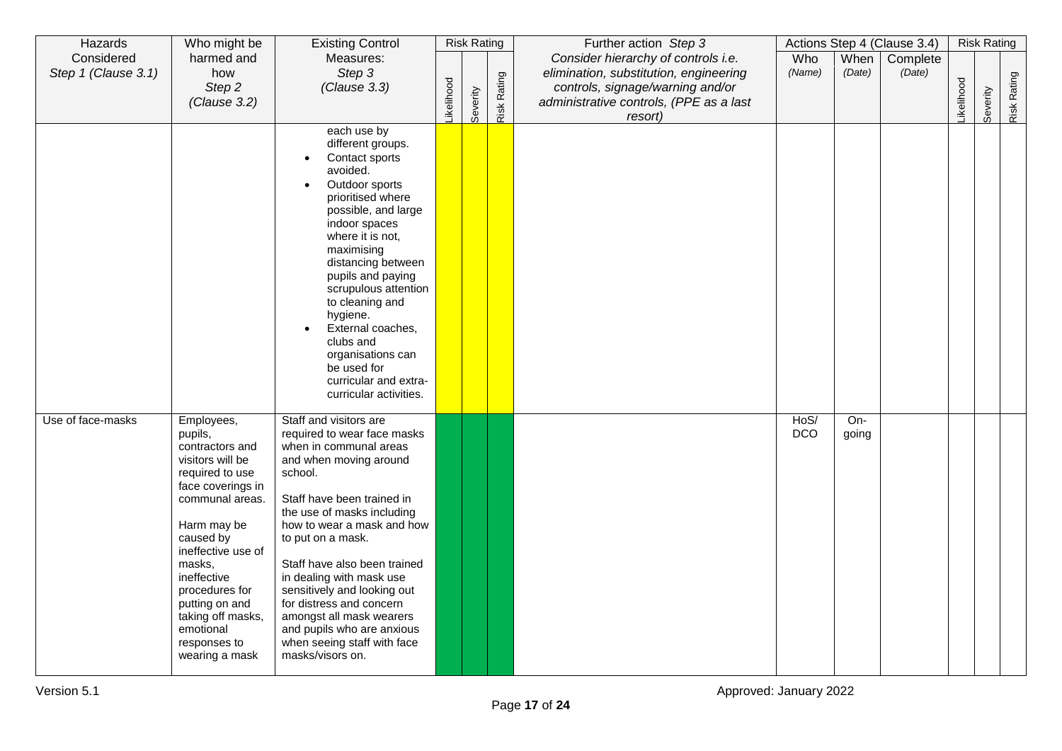| Hazards             | Who might be                        | <b>Existing Control</b>                                   |           | <b>Risk Rating</b> |             | Further action Step 3                   |            |        | Actions Step 4 (Clause 3.4) |                  | <b>Risk Rating</b> |             |
|---------------------|-------------------------------------|-----------------------------------------------------------|-----------|--------------------|-------------|-----------------------------------------|------------|--------|-----------------------------|------------------|--------------------|-------------|
| Considered          | harmed and                          | Measures:                                                 |           |                    |             | Consider hierarchy of controls i.e.     | Who        | When   | Complete                    |                  |                    |             |
| Step 1 (Clause 3.1) | how                                 | Step 3                                                    |           |                    |             | elimination, substitution, engineering  | (Name)     | (Date) | (Date)                      |                  |                    |             |
|                     | Step 2                              | (Clause 3.3)                                              |           |                    |             | controls, signage/warning and/or        |            |        |                             |                  |                    |             |
|                     | (Clause 3.2)                        |                                                           | ikelihood | Severity           | Risk Rating | administrative controls, (PPE as a last |            |        |                             | <b>ikelihood</b> | Severity           | Risk Rating |
|                     |                                     |                                                           |           |                    |             | resort)                                 |            |        |                             |                  |                    |             |
|                     |                                     | each use by<br>different groups.                          |           |                    |             |                                         |            |        |                             |                  |                    |             |
|                     |                                     | Contact sports                                            |           |                    |             |                                         |            |        |                             |                  |                    |             |
|                     |                                     | avoided.                                                  |           |                    |             |                                         |            |        |                             |                  |                    |             |
|                     |                                     | Outdoor sports<br>$\bullet$                               |           |                    |             |                                         |            |        |                             |                  |                    |             |
|                     |                                     | prioritised where                                         |           |                    |             |                                         |            |        |                             |                  |                    |             |
|                     |                                     | possible, and large                                       |           |                    |             |                                         |            |        |                             |                  |                    |             |
|                     |                                     | indoor spaces                                             |           |                    |             |                                         |            |        |                             |                  |                    |             |
|                     |                                     | where it is not,<br>maximising                            |           |                    |             |                                         |            |        |                             |                  |                    |             |
|                     |                                     | distancing between                                        |           |                    |             |                                         |            |        |                             |                  |                    |             |
|                     |                                     | pupils and paying                                         |           |                    |             |                                         |            |        |                             |                  |                    |             |
|                     |                                     | scrupulous attention                                      |           |                    |             |                                         |            |        |                             |                  |                    |             |
|                     |                                     | to cleaning and                                           |           |                    |             |                                         |            |        |                             |                  |                    |             |
|                     |                                     | hygiene.<br>External coaches,                             |           |                    |             |                                         |            |        |                             |                  |                    |             |
|                     |                                     | clubs and                                                 |           |                    |             |                                         |            |        |                             |                  |                    |             |
|                     |                                     | organisations can                                         |           |                    |             |                                         |            |        |                             |                  |                    |             |
|                     |                                     | be used for                                               |           |                    |             |                                         |            |        |                             |                  |                    |             |
|                     |                                     | curricular and extra-                                     |           |                    |             |                                         |            |        |                             |                  |                    |             |
|                     |                                     | curricular activities.                                    |           |                    |             |                                         |            |        |                             |                  |                    |             |
| Use of face-masks   | Employees,                          | Staff and visitors are                                    |           |                    |             |                                         | HoS/       | $On-$  |                             |                  |                    |             |
|                     | pupils,                             | required to wear face masks                               |           |                    |             |                                         | <b>DCO</b> | going  |                             |                  |                    |             |
|                     | contractors and                     | when in communal areas                                    |           |                    |             |                                         |            |        |                             |                  |                    |             |
|                     | visitors will be<br>required to use | and when moving around<br>school.                         |           |                    |             |                                         |            |        |                             |                  |                    |             |
|                     | face coverings in                   |                                                           |           |                    |             |                                         |            |        |                             |                  |                    |             |
|                     | communal areas.                     | Staff have been trained in                                |           |                    |             |                                         |            |        |                             |                  |                    |             |
|                     |                                     | the use of masks including                                |           |                    |             |                                         |            |        |                             |                  |                    |             |
|                     | Harm may be                         | how to wear a mask and how                                |           |                    |             |                                         |            |        |                             |                  |                    |             |
|                     | caused by<br>ineffective use of     | to put on a mask.                                         |           |                    |             |                                         |            |        |                             |                  |                    |             |
|                     | masks,                              | Staff have also been trained                              |           |                    |             |                                         |            |        |                             |                  |                    |             |
|                     | ineffective                         | in dealing with mask use                                  |           |                    |             |                                         |            |        |                             |                  |                    |             |
|                     | procedures for                      | sensitively and looking out                               |           |                    |             |                                         |            |        |                             |                  |                    |             |
|                     | putting on and                      | for distress and concern                                  |           |                    |             |                                         |            |        |                             |                  |                    |             |
|                     | taking off masks,                   | amongst all mask wearers                                  |           |                    |             |                                         |            |        |                             |                  |                    |             |
|                     | emotional<br>responses to           | and pupils who are anxious<br>when seeing staff with face |           |                    |             |                                         |            |        |                             |                  |                    |             |
|                     | wearing a mask                      | masks/visors on.                                          |           |                    |             |                                         |            |        |                             |                  |                    |             |
|                     |                                     |                                                           |           |                    |             |                                         |            |        |                             |                  |                    |             |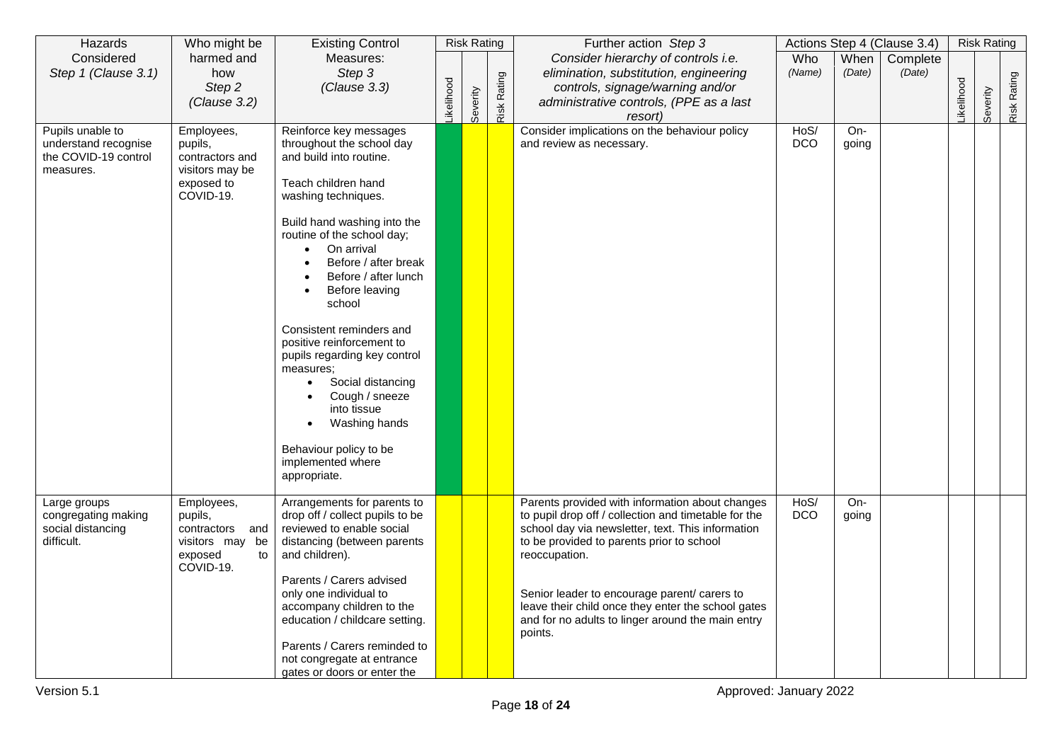| Hazards                                  | Who might be                       | <b>Existing Control</b>                                      |           | <b>Risk Rating</b> |             | Further action Step 3                                                                                     |            |        | Actions Step 4 (Clause 3.4) |            | <b>Risk Rating</b> |             |
|------------------------------------------|------------------------------------|--------------------------------------------------------------|-----------|--------------------|-------------|-----------------------------------------------------------------------------------------------------------|------------|--------|-----------------------------|------------|--------------------|-------------|
| Considered                               | harmed and                         | Measures:                                                    |           |                    |             | Consider hierarchy of controls i.e.                                                                       | Who        | When   | Complete                    |            |                    |             |
| Step 1 (Clause 3.1)                      | how                                | Step 3                                                       |           |                    |             | elimination, substitution, engineering                                                                    | (Name)     | (Date) | (Date)                      |            |                    |             |
|                                          | Step <sub>2</sub>                  | (Clause 3.3)                                                 |           |                    |             | controls, signage/warning and/or                                                                          |            |        |                             |            |                    |             |
|                                          | (Clause 3.2)                       |                                                              | ikelihood | Severity           | Risk Rating | administrative controls, (PPE as a last                                                                   |            |        |                             | Likelihood | Severity           | Risk Rating |
| Pupils unable to                         | Employees,                         | Reinforce key messages                                       |           |                    |             | resort)<br>Consider implications on the behaviour policy                                                  | HoS/       | $On-$  |                             |            |                    |             |
| understand recognise                     | pupils,                            | throughout the school day                                    |           |                    |             | and review as necessary.                                                                                  | <b>DCO</b> | going  |                             |            |                    |             |
| the COVID-19 control<br>measures.        | contractors and<br>visitors may be | and build into routine.                                      |           |                    |             |                                                                                                           |            |        |                             |            |                    |             |
|                                          | exposed to                         | Teach children hand                                          |           |                    |             |                                                                                                           |            |        |                             |            |                    |             |
|                                          | COVID-19.                          | washing techniques.                                          |           |                    |             |                                                                                                           |            |        |                             |            |                    |             |
|                                          |                                    | Build hand washing into the                                  |           |                    |             |                                                                                                           |            |        |                             |            |                    |             |
|                                          |                                    | routine of the school day;                                   |           |                    |             |                                                                                                           |            |        |                             |            |                    |             |
|                                          |                                    | On arrival<br>Before / after break                           |           |                    |             |                                                                                                           |            |        |                             |            |                    |             |
|                                          |                                    | Before / after lunch                                         |           |                    |             |                                                                                                           |            |        |                             |            |                    |             |
|                                          |                                    | Before leaving                                               |           |                    |             |                                                                                                           |            |        |                             |            |                    |             |
|                                          |                                    | school                                                       |           |                    |             |                                                                                                           |            |        |                             |            |                    |             |
|                                          |                                    | Consistent reminders and                                     |           |                    |             |                                                                                                           |            |        |                             |            |                    |             |
|                                          |                                    | positive reinforcement to                                    |           |                    |             |                                                                                                           |            |        |                             |            |                    |             |
|                                          |                                    | pupils regarding key control                                 |           |                    |             |                                                                                                           |            |        |                             |            |                    |             |
|                                          |                                    | measures;<br>Social distancing                               |           |                    |             |                                                                                                           |            |        |                             |            |                    |             |
|                                          |                                    | Cough / sneeze                                               |           |                    |             |                                                                                                           |            |        |                             |            |                    |             |
|                                          |                                    | into tissue                                                  |           |                    |             |                                                                                                           |            |        |                             |            |                    |             |
|                                          |                                    | Washing hands                                                |           |                    |             |                                                                                                           |            |        |                             |            |                    |             |
|                                          |                                    | Behaviour policy to be                                       |           |                    |             |                                                                                                           |            |        |                             |            |                    |             |
|                                          |                                    | implemented where<br>appropriate.                            |           |                    |             |                                                                                                           |            |        |                             |            |                    |             |
|                                          |                                    |                                                              |           |                    |             |                                                                                                           |            |        |                             |            |                    |             |
| Large groups                             | Employees,                         | Arrangements for parents to                                  |           |                    |             | Parents provided with information about changes                                                           | HoS/       | $On-$  |                             |            |                    |             |
| congregating making<br>social distancing | pupils,<br>contractors and         | drop off / collect pupils to be<br>reviewed to enable social |           |                    |             | to pupil drop off / collection and timetable for the<br>school day via newsletter, text. This information | <b>DCO</b> | going  |                             |            |                    |             |
| difficult.                               | visitors may be                    | distancing (between parents                                  |           |                    |             | to be provided to parents prior to school                                                                 |            |        |                             |            |                    |             |
|                                          | exposed<br>to                      | and children).                                               |           |                    |             | reoccupation.                                                                                             |            |        |                             |            |                    |             |
|                                          | COVID-19.                          |                                                              |           |                    |             |                                                                                                           |            |        |                             |            |                    |             |
|                                          |                                    | Parents / Carers advised                                     |           |                    |             |                                                                                                           |            |        |                             |            |                    |             |
|                                          |                                    | only one individual to<br>accompany children to the          |           |                    |             | Senior leader to encourage parent/ carers to<br>leave their child once they enter the school gates        |            |        |                             |            |                    |             |
|                                          |                                    | education / childcare setting.                               |           |                    |             | and for no adults to linger around the main entry                                                         |            |        |                             |            |                    |             |
|                                          |                                    |                                                              |           |                    |             | points.                                                                                                   |            |        |                             |            |                    |             |
|                                          |                                    | Parents / Carers reminded to                                 |           |                    |             |                                                                                                           |            |        |                             |            |                    |             |
|                                          |                                    | not congregate at entrance                                   |           |                    |             |                                                                                                           |            |        |                             |            |                    |             |
|                                          |                                    | gates or doors or enter the                                  |           |                    |             |                                                                                                           |            |        |                             |            |                    |             |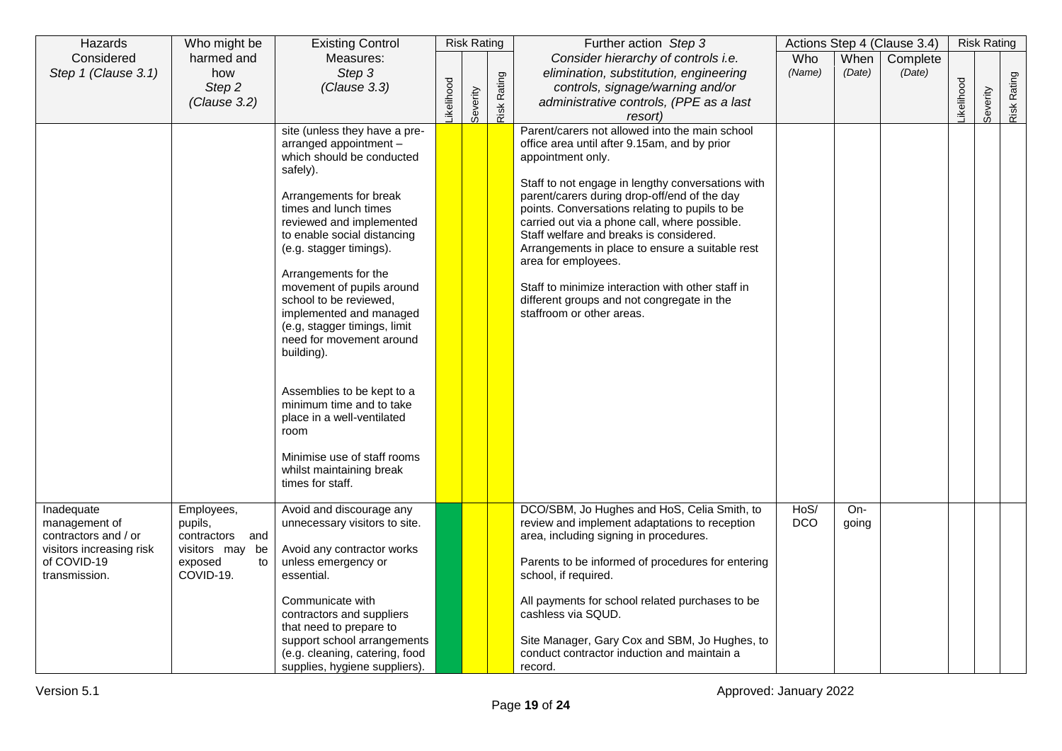| Hazards                                                                          | Who might be                                                     | <b>Existing Control</b>                                                                                                                                                                                                                                                                                                                                                                                                       |                  | <b>Risk Rating</b> |             | Further action Step 3                                                                                                                                                                                                                                                                                                                                                                                                                                                                                                                                                            |                    |                | Actions Step 4 (Clause 3.4) |                  | <b>Risk Rating</b> |        |
|----------------------------------------------------------------------------------|------------------------------------------------------------------|-------------------------------------------------------------------------------------------------------------------------------------------------------------------------------------------------------------------------------------------------------------------------------------------------------------------------------------------------------------------------------------------------------------------------------|------------------|--------------------|-------------|----------------------------------------------------------------------------------------------------------------------------------------------------------------------------------------------------------------------------------------------------------------------------------------------------------------------------------------------------------------------------------------------------------------------------------------------------------------------------------------------------------------------------------------------------------------------------------|--------------------|----------------|-----------------------------|------------------|--------------------|--------|
| Considered<br>Step 1 (Clause 3.1)                                                | harmed and<br>how                                                | Measures:<br>Step 3                                                                                                                                                                                                                                                                                                                                                                                                           |                  |                    |             | Consider hierarchy of controls i.e.<br>elimination, substitution, engineering                                                                                                                                                                                                                                                                                                                                                                                                                                                                                                    | Who<br>(Name)      | When<br>(Date) | Complete<br>(Date)          |                  |                    |        |
|                                                                                  | Step 2                                                           | (Clause 3.3)                                                                                                                                                                                                                                                                                                                                                                                                                  |                  |                    |             | controls, signage/warning and/or                                                                                                                                                                                                                                                                                                                                                                                                                                                                                                                                                 |                    |                |                             |                  |                    | Rating |
|                                                                                  | (Clause 3.2)                                                     |                                                                                                                                                                                                                                                                                                                                                                                                                               | <b>ikelihood</b> | Severity           | Risk Rating | administrative controls, (PPE as a last                                                                                                                                                                                                                                                                                                                                                                                                                                                                                                                                          |                    |                |                             | <b>ikelihood</b> | Severity           | Risk   |
|                                                                                  |                                                                  |                                                                                                                                                                                                                                                                                                                                                                                                                               |                  |                    |             | resort)                                                                                                                                                                                                                                                                                                                                                                                                                                                                                                                                                                          |                    |                |                             |                  |                    |        |
|                                                                                  |                                                                  | site (unless they have a pre-<br>arranged appointment -<br>which should be conducted<br>safely).<br>Arrangements for break<br>times and lunch times<br>reviewed and implemented<br>to enable social distancing<br>(e.g. stagger timings).<br>Arrangements for the<br>movement of pupils around<br>school to be reviewed,<br>implemented and managed<br>(e.g, stagger timings, limit<br>need for movement around<br>building). |                  |                    |             | Parent/carers not allowed into the main school<br>office area until after 9.15am, and by prior<br>appointment only.<br>Staff to not engage in lengthy conversations with<br>parent/carers during drop-off/end of the day<br>points. Conversations relating to pupils to be<br>carried out via a phone call, where possible.<br>Staff welfare and breaks is considered.<br>Arrangements in place to ensure a suitable rest<br>area for employees.<br>Staff to minimize interaction with other staff in<br>different groups and not congregate in the<br>staffroom or other areas. |                    |                |                             |                  |                    |        |
|                                                                                  |                                                                  | Assemblies to be kept to a<br>minimum time and to take<br>place in a well-ventilated<br>room<br>Minimise use of staff rooms<br>whilst maintaining break<br>times for staff.                                                                                                                                                                                                                                                   |                  |                    |             |                                                                                                                                                                                                                                                                                                                                                                                                                                                                                                                                                                                  |                    |                |                             |                  |                    |        |
| Inadequate<br>management of                                                      | Employees,<br>pupils,                                            | Avoid and discourage any<br>unnecessary visitors to site.                                                                                                                                                                                                                                                                                                                                                                     |                  |                    |             | DCO/SBM, Jo Hughes and HoS, Celia Smith, to<br>review and implement adaptations to reception                                                                                                                                                                                                                                                                                                                                                                                                                                                                                     | HoS/<br><b>DCO</b> | On-<br>going   |                             |                  |                    |        |
| contractors and / or<br>visitors increasing risk<br>of COVID-19<br>transmission. | contractors and<br>visitors may be<br>exposed<br>to<br>COVID-19. | Avoid any contractor works<br>unless emergency or<br>essential.                                                                                                                                                                                                                                                                                                                                                               |                  |                    |             | area, including signing in procedures.<br>Parents to be informed of procedures for entering<br>school, if required.                                                                                                                                                                                                                                                                                                                                                                                                                                                              |                    |                |                             |                  |                    |        |
|                                                                                  |                                                                  | Communicate with<br>contractors and suppliers<br>that need to prepare to                                                                                                                                                                                                                                                                                                                                                      |                  |                    |             | All payments for school related purchases to be<br>cashless via SQUD.                                                                                                                                                                                                                                                                                                                                                                                                                                                                                                            |                    |                |                             |                  |                    |        |
|                                                                                  |                                                                  | support school arrangements<br>(e.g. cleaning, catering, food<br>supplies, hygiene suppliers)                                                                                                                                                                                                                                                                                                                                 |                  |                    |             | Site Manager, Gary Cox and SBM, Jo Hughes, to<br>conduct contractor induction and maintain a<br>record.                                                                                                                                                                                                                                                                                                                                                                                                                                                                          |                    |                |                             |                  |                    |        |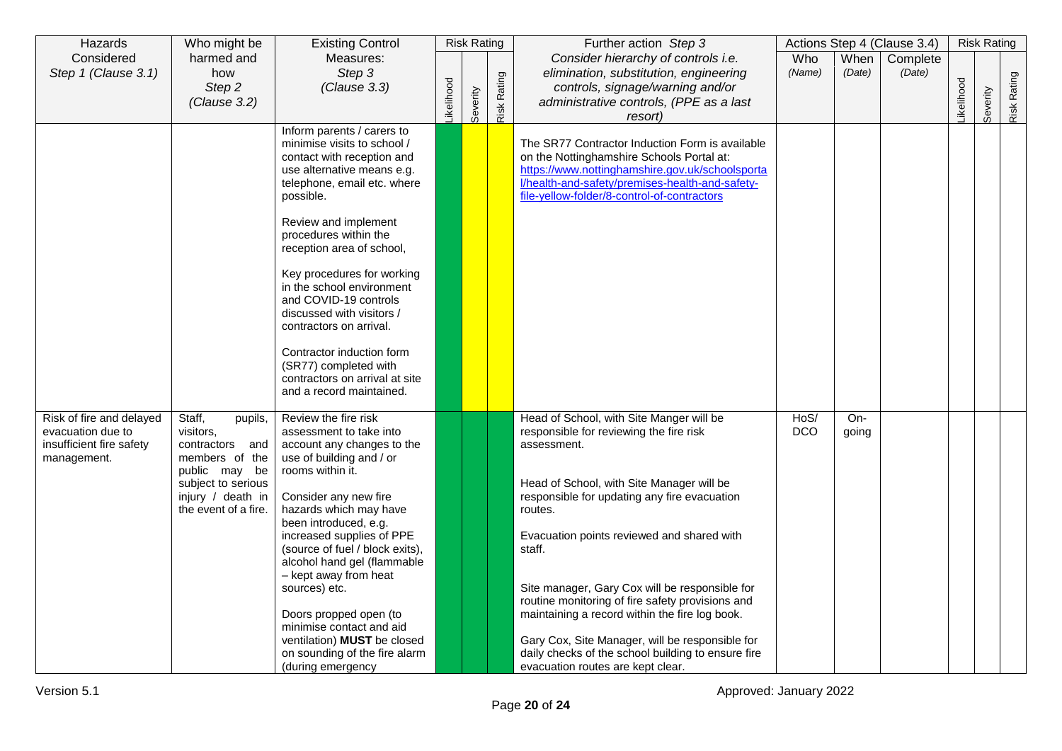| Hazards                                                                                  | Who might be                                                                                                                                            | <b>Existing Control</b>                                                                                                                                                                                                                                                                                                                                                                                                                                                                                         |           | <b>Risk Rating</b> |             | Further action Step 3                                                                                                                                                                                                                                                                                                                                                                                                                                                                                                                                                    |                    |                | Actions Step 4 (Clause 3.4) |           | <b>Risk Rating</b> |             |
|------------------------------------------------------------------------------------------|---------------------------------------------------------------------------------------------------------------------------------------------------------|-----------------------------------------------------------------------------------------------------------------------------------------------------------------------------------------------------------------------------------------------------------------------------------------------------------------------------------------------------------------------------------------------------------------------------------------------------------------------------------------------------------------|-----------|--------------------|-------------|--------------------------------------------------------------------------------------------------------------------------------------------------------------------------------------------------------------------------------------------------------------------------------------------------------------------------------------------------------------------------------------------------------------------------------------------------------------------------------------------------------------------------------------------------------------------------|--------------------|----------------|-----------------------------|-----------|--------------------|-------------|
| Considered<br>Step 1 (Clause 3.1)                                                        | harmed and<br>how                                                                                                                                       | Measures:<br>Step 3                                                                                                                                                                                                                                                                                                                                                                                                                                                                                             |           |                    |             | Consider hierarchy of controls i.e.<br>elimination, substitution, engineering                                                                                                                                                                                                                                                                                                                                                                                                                                                                                            | Who<br>(Name)      | When<br>(Date) | Complete<br>(Date)          |           |                    |             |
|                                                                                          | Step 2                                                                                                                                                  | (Clause 3.3)                                                                                                                                                                                                                                                                                                                                                                                                                                                                                                    | ikelihood |                    | Risk Rating | controls, signage/warning and/or                                                                                                                                                                                                                                                                                                                                                                                                                                                                                                                                         |                    |                |                             | ikelihood |                    | Risk Rating |
|                                                                                          | (Clause 3.2)                                                                                                                                            |                                                                                                                                                                                                                                                                                                                                                                                                                                                                                                                 |           | Severity           |             | administrative controls, (PPE as a last                                                                                                                                                                                                                                                                                                                                                                                                                                                                                                                                  |                    |                |                             |           | Severity           |             |
|                                                                                          |                                                                                                                                                         | Inform parents / carers to<br>minimise visits to school /<br>contact with reception and<br>use alternative means e.g.<br>telephone, email etc. where<br>possible.<br>Review and implement<br>procedures within the<br>reception area of school,<br>Key procedures for working<br>in the school environment<br>and COVID-19 controls<br>discussed with visitors /<br>contractors on arrival.<br>Contractor induction form<br>(SR77) completed with<br>contractors on arrival at site<br>and a record maintained. |           |                    |             | resort)<br>The SR77 Contractor Induction Form is available<br>on the Nottinghamshire Schools Portal at:<br>https://www.nottinghamshire.gov.uk/schoolsporta<br>l/health-and-safety/premises-health-and-safety-<br>file-yellow-folder/8-control-of-contractors                                                                                                                                                                                                                                                                                                             |                    |                |                             |           |                    |             |
| Risk of fire and delayed<br>evacuation due to<br>insufficient fire safety<br>management. | Staff,<br>pupils,<br>visitors,<br>contractors and<br>members of the<br>public may be<br>subject to serious<br>injury / death in<br>the event of a fire. | Review the fire risk<br>assessment to take into<br>account any changes to the<br>use of building and / or<br>rooms within it.<br>Consider any new fire<br>hazards which may have<br>been introduced, e.g.<br>increased supplies of PPE<br>(source of fuel / block exits),<br>alcohol hand gel (flammable<br>- kept away from heat<br>sources) etc.<br>Doors propped open (to<br>minimise contact and aid<br>ventilation) <b>MUST</b> be closed<br>on sounding of the fire alarm<br>(during emergency            |           |                    |             | Head of School, with Site Manger will be<br>responsible for reviewing the fire risk<br>assessment.<br>Head of School, with Site Manager will be<br>responsible for updating any fire evacuation<br>routes.<br>Evacuation points reviewed and shared with<br>staff.<br>Site manager, Gary Cox will be responsible for<br>routine monitoring of fire safety provisions and<br>maintaining a record within the fire log book.<br>Gary Cox, Site Manager, will be responsible for<br>daily checks of the school building to ensure fire<br>evacuation routes are kept clear. | HoS/<br><b>DCO</b> | $On-$<br>going |                             |           |                    |             |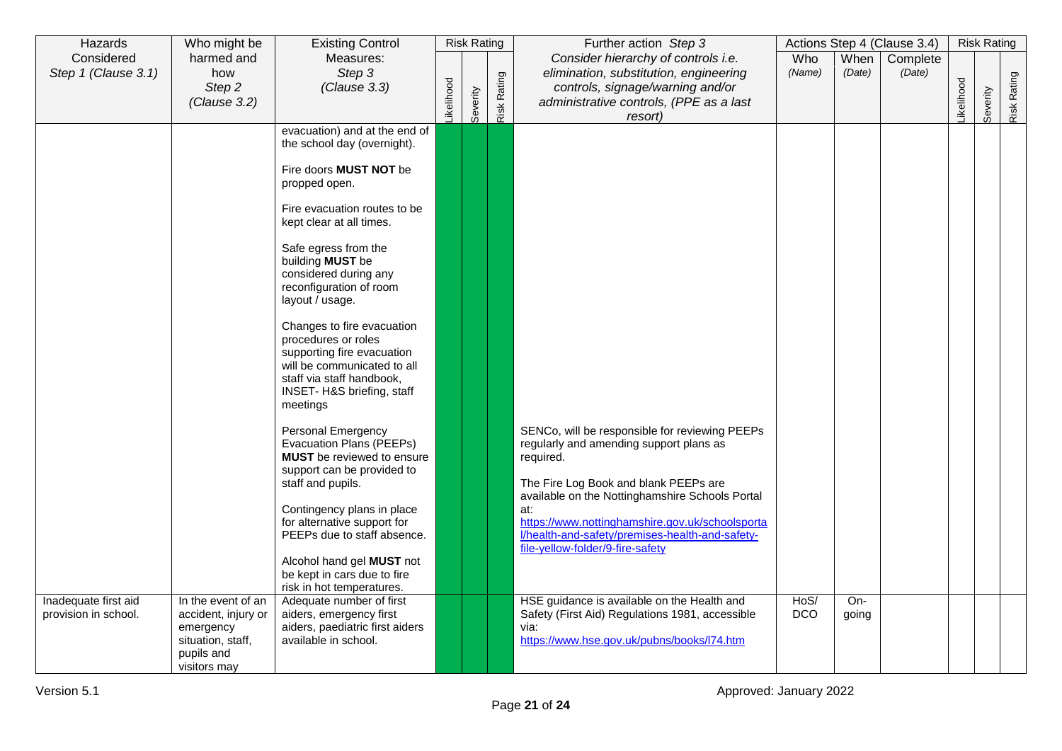| Hazards              | Who might be                   | <b>Existing Control</b>                                      |           | <b>Risk Rating</b> |             | Further action Step 3                                                                    |            |        | Actions Step 4 (Clause 3.4) |           | <b>Risk Rating</b> |             |
|----------------------|--------------------------------|--------------------------------------------------------------|-----------|--------------------|-------------|------------------------------------------------------------------------------------------|------------|--------|-----------------------------|-----------|--------------------|-------------|
| Considered           | harmed and                     | Measures:                                                    |           |                    |             | Consider hierarchy of controls i.e.                                                      | Who        | When   | Complete                    |           |                    |             |
| Step 1 (Clause 3.1)  | how                            | Step 3                                                       |           |                    |             | elimination, substitution, engineering                                                   | (Name)     | (Date) | (Date)                      |           |                    |             |
|                      | Step 2                         | (Clause 3.3)                                                 |           |                    |             | controls, signage/warning and/or                                                         |            |        |                             |           |                    |             |
|                      | (Clause 3.2)                   |                                                              | ikelihood | Severity           | Risk Rating | administrative controls, (PPE as a last                                                  |            |        |                             | ikelihood | Severity           | Risk Rating |
|                      |                                |                                                              |           |                    |             | resort)                                                                                  |            |        |                             |           |                    |             |
|                      |                                | evacuation) and at the end of<br>the school day (overnight). |           |                    |             |                                                                                          |            |        |                             |           |                    |             |
|                      |                                |                                                              |           |                    |             |                                                                                          |            |        |                             |           |                    |             |
|                      |                                | Fire doors <b>MUST NOT</b> be                                |           |                    |             |                                                                                          |            |        |                             |           |                    |             |
|                      |                                | propped open.                                                |           |                    |             |                                                                                          |            |        |                             |           |                    |             |
|                      |                                |                                                              |           |                    |             |                                                                                          |            |        |                             |           |                    |             |
|                      |                                | Fire evacuation routes to be<br>kept clear at all times.     |           |                    |             |                                                                                          |            |        |                             |           |                    |             |
|                      |                                |                                                              |           |                    |             |                                                                                          |            |        |                             |           |                    |             |
|                      |                                | Safe egress from the                                         |           |                    |             |                                                                                          |            |        |                             |           |                    |             |
|                      |                                | building MUST be                                             |           |                    |             |                                                                                          |            |        |                             |           |                    |             |
|                      |                                | considered during any<br>reconfiguration of room             |           |                    |             |                                                                                          |            |        |                             |           |                    |             |
|                      |                                | layout / usage.                                              |           |                    |             |                                                                                          |            |        |                             |           |                    |             |
|                      |                                |                                                              |           |                    |             |                                                                                          |            |        |                             |           |                    |             |
|                      |                                | Changes to fire evacuation                                   |           |                    |             |                                                                                          |            |        |                             |           |                    |             |
|                      |                                | procedures or roles                                          |           |                    |             |                                                                                          |            |        |                             |           |                    |             |
|                      |                                | supporting fire evacuation<br>will be communicated to all    |           |                    |             |                                                                                          |            |        |                             |           |                    |             |
|                      |                                | staff via staff handbook,                                    |           |                    |             |                                                                                          |            |        |                             |           |                    |             |
|                      |                                | INSET- H&S briefing, staff                                   |           |                    |             |                                                                                          |            |        |                             |           |                    |             |
|                      |                                | meetings                                                     |           |                    |             |                                                                                          |            |        |                             |           |                    |             |
|                      |                                | Personal Emergency                                           |           |                    |             | SENCo, will be responsible for reviewing PEEPs                                           |            |        |                             |           |                    |             |
|                      |                                | Evacuation Plans (PEEPs)                                     |           |                    |             | regularly and amending support plans as                                                  |            |        |                             |           |                    |             |
|                      |                                | <b>MUST</b> be reviewed to ensure                            |           |                    |             | required.                                                                                |            |        |                             |           |                    |             |
|                      |                                | support can be provided to                                   |           |                    |             |                                                                                          |            |        |                             |           |                    |             |
|                      |                                | staff and pupils.                                            |           |                    |             | The Fire Log Book and blank PEEPs are<br>available on the Nottinghamshire Schools Portal |            |        |                             |           |                    |             |
|                      |                                | Contingency plans in place                                   |           |                    |             | at:                                                                                      |            |        |                             |           |                    |             |
|                      |                                | for alternative support for                                  |           |                    |             | https://www.nottinghamshire.gov.uk/schoolsporta                                          |            |        |                             |           |                    |             |
|                      |                                | PEEPs due to staff absence.                                  |           |                    |             | l/health-and-safety/premises-health-and-safety-                                          |            |        |                             |           |                    |             |
|                      |                                | Alcohol hand gel MUST not                                    |           |                    |             | file-yellow-folder/9-fire-safety                                                         |            |        |                             |           |                    |             |
|                      |                                | be kept in cars due to fire                                  |           |                    |             |                                                                                          |            |        |                             |           |                    |             |
|                      |                                | risk in hot temperatures.                                    |           |                    |             |                                                                                          |            |        |                             |           |                    |             |
| Inadequate first aid | In the event of an             | Adequate number of first                                     |           |                    |             | HSE guidance is available on the Health and                                              | HoS/       | $On-$  |                             |           |                    |             |
| provision in school. | accident, injury or            | aiders, emergency first                                      |           |                    |             | Safety (First Aid) Regulations 1981, accessible                                          | <b>DCO</b> | going  |                             |           |                    |             |
|                      | emergency<br>situation, staff, | aiders, paediatric first aiders<br>available in school.      |           |                    |             | via:<br>https://www.hse.gov.uk/pubns/books/l74.htm                                       |            |        |                             |           |                    |             |
|                      | pupils and                     |                                                              |           |                    |             |                                                                                          |            |        |                             |           |                    |             |
|                      | visitors may                   |                                                              |           |                    |             |                                                                                          |            |        |                             |           |                    |             |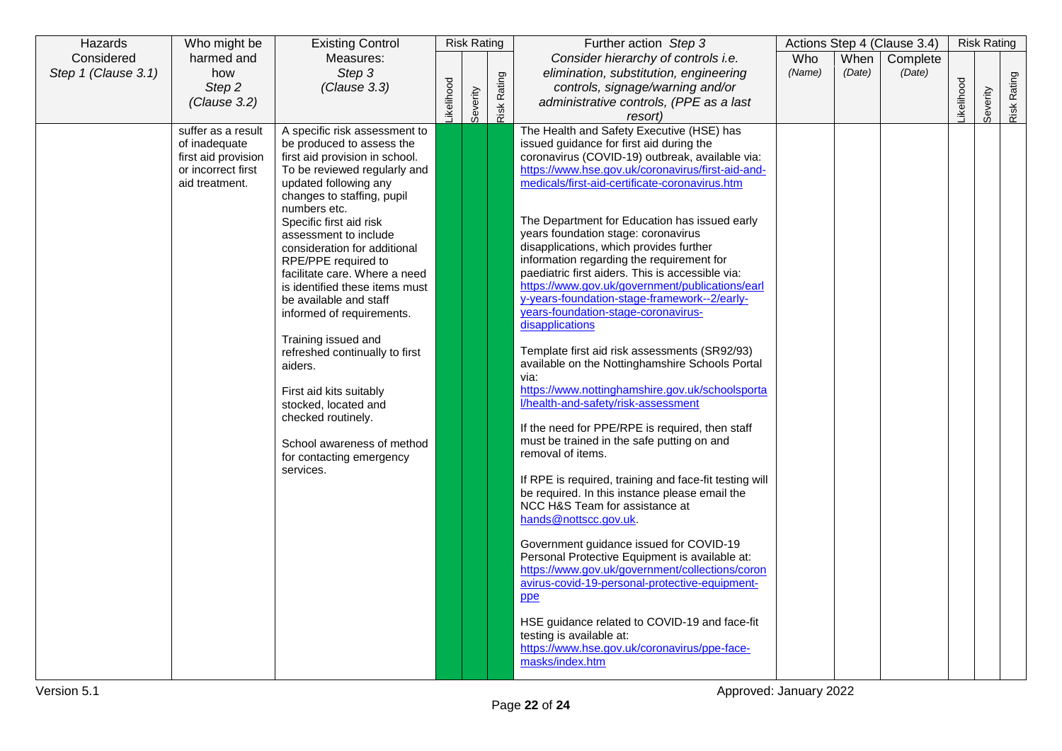| Hazards             | Who might be                                                                 | <b>Existing Control</b>                                                                                                                                                                                                                                                                                        |                  | <b>Risk Rating</b> |             | Further action Step 3                                                                                                                                                                                                                                                                                                                                                                                                                                                                                                                                                                                                                                                                                                                                                                                                                                                                                                                                                                                                 |            |        | Actions Step 4 (Clause 3.4) |           | <b>Risk Rating</b> |             |
|---------------------|------------------------------------------------------------------------------|----------------------------------------------------------------------------------------------------------------------------------------------------------------------------------------------------------------------------------------------------------------------------------------------------------------|------------------|--------------------|-------------|-----------------------------------------------------------------------------------------------------------------------------------------------------------------------------------------------------------------------------------------------------------------------------------------------------------------------------------------------------------------------------------------------------------------------------------------------------------------------------------------------------------------------------------------------------------------------------------------------------------------------------------------------------------------------------------------------------------------------------------------------------------------------------------------------------------------------------------------------------------------------------------------------------------------------------------------------------------------------------------------------------------------------|------------|--------|-----------------------------|-----------|--------------------|-------------|
| Considered          | harmed and                                                                   | Measures:                                                                                                                                                                                                                                                                                                      |                  |                    |             | Consider hierarchy of controls i.e.                                                                                                                                                                                                                                                                                                                                                                                                                                                                                                                                                                                                                                                                                                                                                                                                                                                                                                                                                                                   | <b>Who</b> | When   | Complete                    |           |                    |             |
| Step 1 (Clause 3.1) | how                                                                          | Step 3                                                                                                                                                                                                                                                                                                         |                  |                    |             | elimination, substitution, engineering                                                                                                                                                                                                                                                                                                                                                                                                                                                                                                                                                                                                                                                                                                                                                                                                                                                                                                                                                                                | (Name)     | (Date) | (Date)                      |           |                    |             |
|                     | Step 2                                                                       | (Clause 3.3)                                                                                                                                                                                                                                                                                                   |                  |                    |             | controls, signage/warning and/or                                                                                                                                                                                                                                                                                                                                                                                                                                                                                                                                                                                                                                                                                                                                                                                                                                                                                                                                                                                      |            |        |                             |           |                    |             |
|                     | (Clause 3.2)                                                                 |                                                                                                                                                                                                                                                                                                                | <b>ikelihood</b> | Severity           | Risk Rating | administrative controls, (PPE as a last                                                                                                                                                                                                                                                                                                                                                                                                                                                                                                                                                                                                                                                                                                                                                                                                                                                                                                                                                                               |            |        |                             | ikelihood | Severity           | Risk Rating |
|                     | suffer as a result                                                           | A specific risk assessment to                                                                                                                                                                                                                                                                                  |                  |                    |             | resort)<br>The Health and Safety Executive (HSE) has                                                                                                                                                                                                                                                                                                                                                                                                                                                                                                                                                                                                                                                                                                                                                                                                                                                                                                                                                                  |            |        |                             |           |                    |             |
|                     | of inadequate<br>first aid provision<br>or incorrect first<br>aid treatment. | be produced to assess the<br>first aid provision in school.<br>To be reviewed regularly and<br>updated following any<br>changes to staffing, pupil<br>numbers etc.<br>Specific first aid risk<br>assessment to include<br>consideration for additional<br>RPE/PPE required to<br>facilitate care. Where a need |                  |                    |             | issued guidance for first aid during the<br>coronavirus (COVID-19) outbreak, available via:<br>https://www.hse.gov.uk/coronavirus/first-aid-and-<br>medicals/first-aid-certificate-coronavirus.htm<br>The Department for Education has issued early<br>years foundation stage: coronavirus<br>disapplications, which provides further<br>information regarding the requirement for<br>paediatric first aiders. This is accessible via:                                                                                                                                                                                                                                                                                                                                                                                                                                                                                                                                                                                |            |        |                             |           |                    |             |
|                     |                                                                              | is identified these items must<br>be available and staff<br>informed of requirements.<br>Training issued and<br>refreshed continually to first<br>aiders.<br>First aid kits suitably<br>stocked, located and<br>checked routinely.<br>School awareness of method<br>for contacting emergency<br>services.      |                  |                    |             | https://www.gov.uk/government/publications/earl<br>y-years-foundation-stage-framework--2/early-<br>years-foundation-stage-coronavirus-<br>disapplications<br>Template first aid risk assessments (SR92/93)<br>available on the Nottinghamshire Schools Portal<br>via:<br>https://www.nottinghamshire.gov.uk/schoolsporta<br>l/health-and-safety/risk-assessment<br>If the need for PPE/RPE is required, then staff<br>must be trained in the safe putting on and<br>removal of items.<br>If RPE is required, training and face-fit testing will<br>be required. In this instance please email the<br>NCC H&S Team for assistance at<br>hands@nottscc.gov.uk.<br>Government guidance issued for COVID-19<br>Personal Protective Equipment is available at:<br>https://www.gov.uk/government/collections/coron<br>avirus-covid-19-personal-protective-equipment-<br>ppe<br>HSE guidance related to COVID-19 and face-fit<br>testing is available at:<br>https://www.hse.gov.uk/coronavirus/ppe-face-<br>masks/index.htm |            |        |                             |           |                    |             |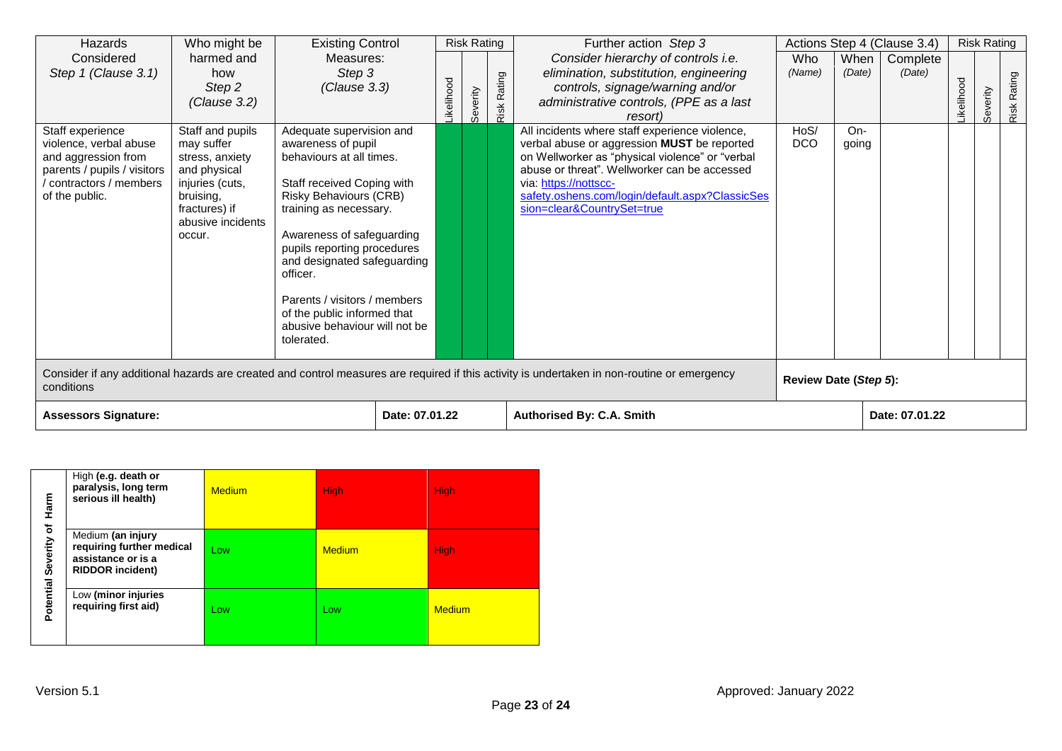| Hazards                                                                                                                                     | Who might be                                                                                                                                      | <b>Existing Control</b>                                                                                                                                                                                                                                                                                                                                                                  |                |                  | <b>Risk Rating</b> |             | Further action Step 3                                                                                                                                                                                                                                                                                      |                       |                | Actions Step 4 (Clause 3.4) |              | <b>Risk Rating</b> |             |
|---------------------------------------------------------------------------------------------------------------------------------------------|---------------------------------------------------------------------------------------------------------------------------------------------------|------------------------------------------------------------------------------------------------------------------------------------------------------------------------------------------------------------------------------------------------------------------------------------------------------------------------------------------------------------------------------------------|----------------|------------------|--------------------|-------------|------------------------------------------------------------------------------------------------------------------------------------------------------------------------------------------------------------------------------------------------------------------------------------------------------------|-----------------------|----------------|-----------------------------|--------------|--------------------|-------------|
| Considered<br>Step 1 (Clause 3.1)                                                                                                           | harmed and<br>how<br>Step 2<br>(Clause 3.2)                                                                                                       | Measures:<br>Step 3<br>(Clause 3.3)                                                                                                                                                                                                                                                                                                                                                      |                | <b>ikelihood</b> | Severity           | Risk Rating | Consider hierarchy of controls i.e.<br>elimination, substitution, engineering<br>controls, signage/warning and/or<br>administrative controls, (PPE as a last<br><i>resort</i> )                                                                                                                            | Who<br>(Name)         | When<br>(Date) | Complete<br>(Date)          | elihood<br>뢋 | Severity           | Risk Rating |
| Staff experience<br>violence, verbal abuse<br>and aggression from<br>parents / pupils / visitors<br>contractors / members<br>of the public. | Staff and pupils<br>may suffer<br>stress, anxiety<br>and physical<br>injuries (cuts,<br>bruising,<br>fractures) if<br>abusive incidents<br>occur. | Adequate supervision and<br>awareness of pupil<br>behaviours at all times.<br>Staff received Coping with<br><b>Risky Behaviours (CRB)</b><br>training as necessary.<br>Awareness of safeguarding<br>pupils reporting procedures<br>and designated safeguarding<br>officer.<br>Parents / visitors / members<br>of the public informed that<br>abusive behaviour will not be<br>tolerated. |                |                  |                    |             | All incidents where staff experience violence,<br>verbal abuse or aggression MUST be reported<br>on Wellworker as "physical violence" or "verbal<br>abuse or threat". Wellworker can be accessed<br>via: https://nottscc-<br>safety.oshens.com/login/default.aspx?ClassicSes<br>sion=clear&CountrySet=true | HoS/<br><b>DCO</b>    | On-<br>going   |                             |              |                    |             |
| conditions                                                                                                                                  | Consider if any additional hazards are created and control measures are required if this activity is undertaken in non-routine or emergency       |                                                                                                                                                                                                                                                                                                                                                                                          |                |                  |                    |             |                                                                                                                                                                                                                                                                                                            | Review Date (Step 5): |                |                             |              |                    |             |
| <b>Assessors Signature:</b>                                                                                                                 |                                                                                                                                                   |                                                                                                                                                                                                                                                                                                                                                                                          | Date: 07.01.22 |                  |                    |             | <b>Authorised By: C.A. Smith</b>                                                                                                                                                                                                                                                                           |                       |                | Date: 07.01.22              |              |                    |             |

| Harm                                                 | High (e.g. death or<br>paralysis, long term<br>serious ill health)                              | <b>Medium</b> | <b>High</b>   | <b>High</b>   |
|------------------------------------------------------|-------------------------------------------------------------------------------------------------|---------------|---------------|---------------|
| $\overline{\mathbf{o}}$<br><b>Potential Severity</b> | Medium (an injury<br>requiring further medical<br>assistance or is a<br><b>RIDDOR incident)</b> | Low           | <b>Medium</b> | <b>High</b>   |
|                                                      | Low (minor injuries<br>requiring first aid)                                                     | Low           | Low           | <b>Medium</b> |